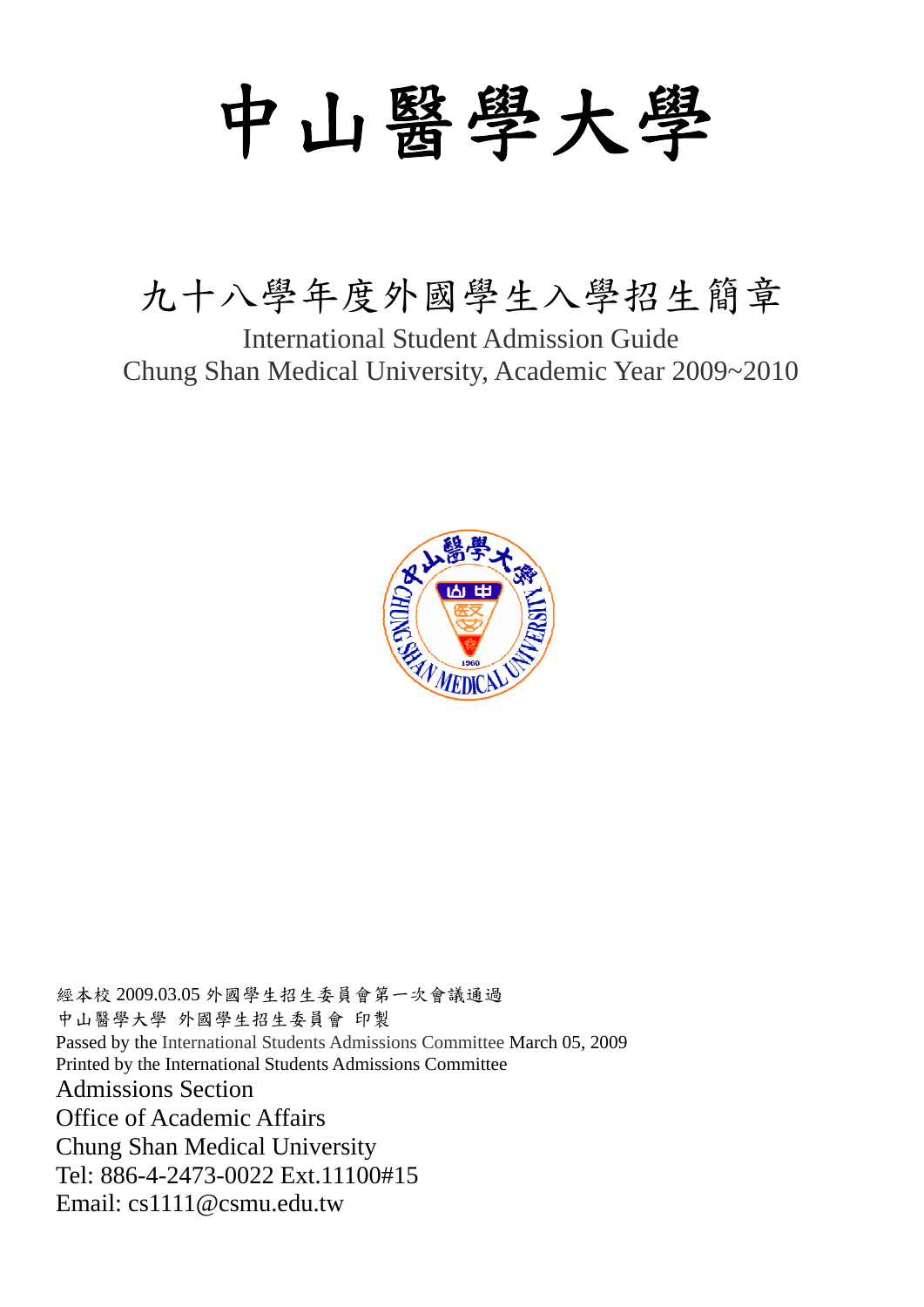# 中山醫學大學

### 九十八學年度外國學生入學招生簡章

International Student Admission Guide Chung Shan Medical University, Academic Year 2009~2010



經本校 2009.03.05 外國學生招生委員會第一次會議通過 中山醫學大學 外國學生招生委員會 印製 Passed by the International Students Admissions Committee March 05, 2009 Printed by the International Students Admissions Committee Admissions Section Office of Academic Affairs Chung Shan Medical University Tel: 886-4-2473-0022 Ext.11100#15 Email: cs1111@csmu.edu.tw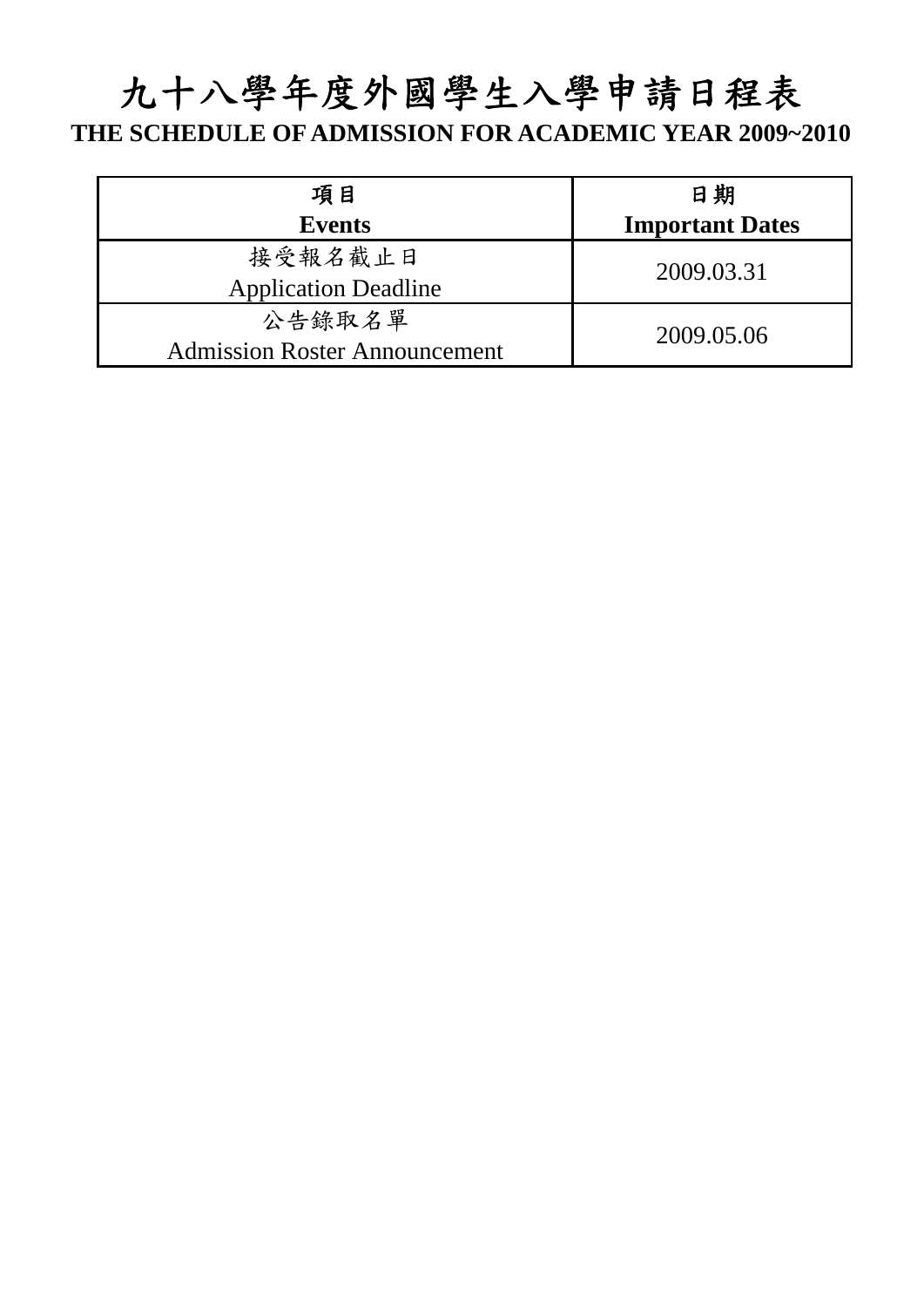## 九十八學年度外國學生入學申請日程表

#### **THE SCHEDULE OF ADMISSION FOR ACADEMIC YEAR 2009~2010**

| 項目                                             | 日期                     |
|------------------------------------------------|------------------------|
| <b>Events</b>                                  | <b>Important Dates</b> |
| 接受報名截止日<br><b>Application Deadline</b>         | 2009.03.31             |
| 公告錄取名單<br><b>Admission Roster Announcement</b> | 2009.05.06             |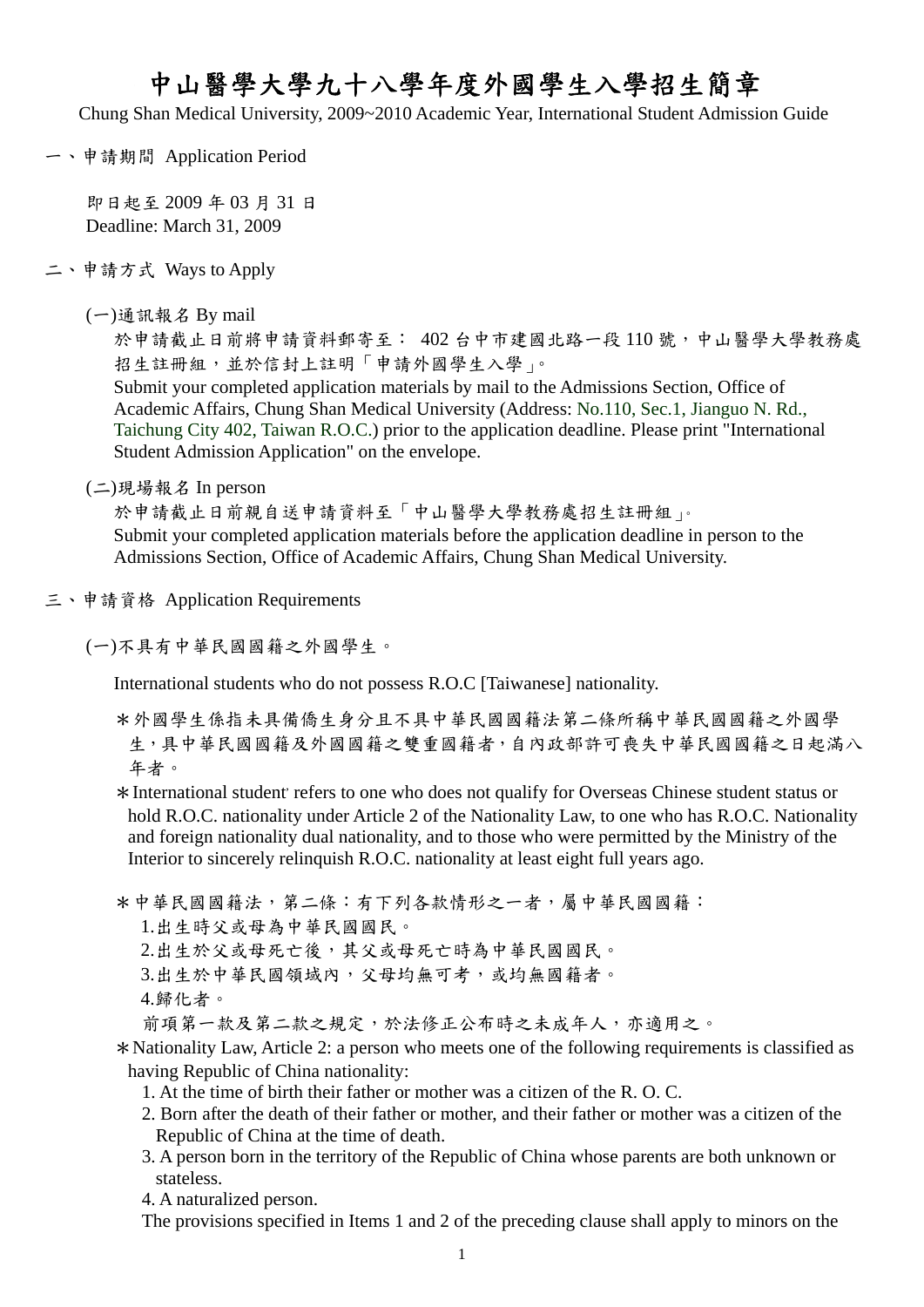#### 中山醫學大學九十八學年度外國學生入學招生簡章

Chung Shan Medical University, 2009~2010 Academic Year, International Student Admission Guide

一、申請期間 Application Period

即日起至 2009 年 03 月 31 日 Deadline: March 31, 2009

- 二、申請方式 Ways to Apply
	- (一)通訊報名 By mail

於申請截止日前將申請資料郵寄至: 402 台中市建國北路一段110號,中山醫學大學教務處 招生註冊組,並於信封上註明「申請外國學生入學」。

Submit your completed application materials by mail to the Admissions Section, Office of Academic Affairs, Chung Shan Medical University (Address: No.110, Sec.1, Jianguo N. Rd., Taichung City 402, Taiwan R.O.C.) prior to the application deadline. Please print "International Student Admission Application" on the envelope.

(二)現場報名 In person

於申請截止日前親自送申請資料至「中山醫學大學教務處招生註冊組」。 Submit your completed application materials before the application deadline in person to the Admissions Section, Office of Academic Affairs, Chung Shan Medical University.

三、申請資格 Application Requirements

(一)不具有中華民國國籍之外國學生。

International students who do not possess R.O.C [Taiwanese] nationality.

- \*外國學生係指未具備僑生身分且不具中華民國國籍法第二條所稱中華民國國籍之外國學 生,具中華民國國籍及外國國籍之雙重國籍者,自內政部許可喪失中華民國國籍之日起滿八 年者。
- \*International student, refers to one who does not qualify for Overseas Chinese student status or hold R.O.C. nationality under Article 2 of the Nationality Law, to one who has R.O.C. Nationality and foreign nationality dual nationality, and to those who were permitted by the Ministry of the Interior to sincerely relinquish R.O.C. nationality at least eight full years ago.

\*中華民國國籍法,第二條:有下列各款情形之一者,屬中華民國國籍: 1.出生時父或母為中華民國國民。 2.出生於父或母死亡後,其父或母死亡時為中華民國國民。 3.出生於中華民國領域內,父母均無可考,或均無國籍者。 4.歸化者。 前項第一款及第二款之規定,於法修正公布時之未成年人,亦適用之。

\*Nationality Law, Article 2: a person who meets one of the following requirements is classified as having Republic of China nationality:

- 1. At the time of birth their father or mother was a citizen of the R. O. C.
- 2. Born after the death of their father or mother, and their father or mother was a citizen of the Republic of China at the time of death.
- 3. A person born in the territory of the Republic of China whose parents are both unknown or stateless.

4. A naturalized person.

The provisions specified in Items 1 and 2 of the preceding clause shall apply to minors on the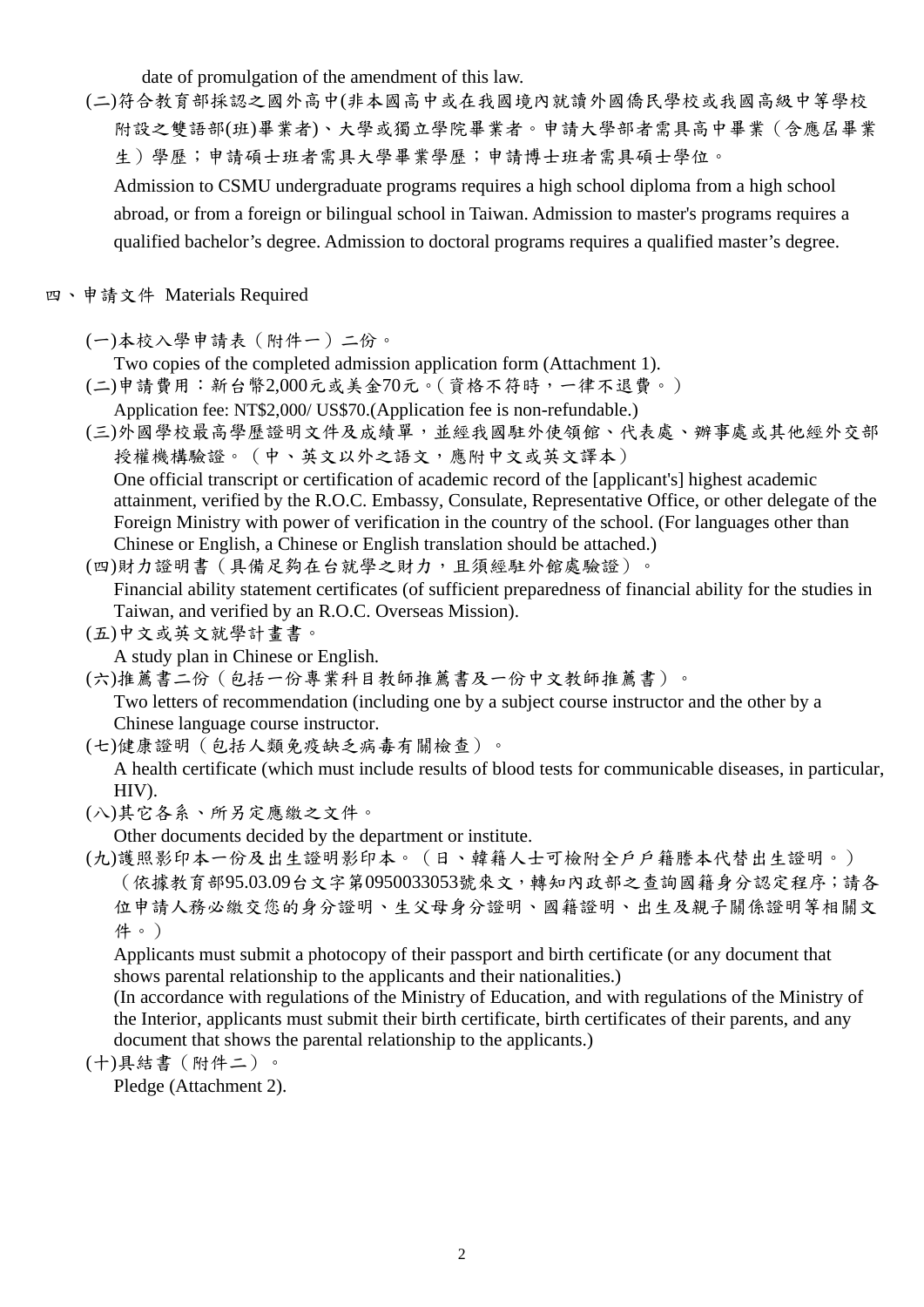date of promulgation of the amendment of this law.

(二)符合教育部採認之國外高中(非本國高中或在我國境內就讀外國僑民學校或我國高級中等學校 附設之雙語部(班)畢業者)、大學或獨立學院畢業者。申請大學部者需具高中畢業(含應屆畢業 生)學歷;申請碩士班者需具大學畢業學歷;申請博士班者需具碩士學位。

Admission to CSMU undergraduate programs requires a high school diploma from a high school abroad, or from a foreign or bilingual school in Taiwan. Admission to master's programs requires a qualified bachelor's degree. Admission to doctoral programs requires a qualified master's degree.

四、申請文件 Materials Required

(一)本校入學申請表(附件一)二份。

Two copies of the completed admission application form (Attachment 1).

- (二)申請費用:新台幣2,000元或美金70元。(資格不符時,一律不退費。) Application fee: NT\$2,000/ US\$70.(Application fee is non-refundable.)
- (三)外國學校最高學歷證明文件及成績單,並經我國駐外使領館、代表處、辦事處或其他經外交部 授權機構驗證。(中、英文以外之語文,應附中文或英文譯本) One official transcript or certification of academic record of the [applicant's] highest academic attainment, verified by the R.O.C. Embassy, Consulate, Representative Office, or other delegate of the Foreign Ministry with power of verification in the country of the school. (For languages other than Chinese or English, a Chinese or English translation should be attached.)
- (四)財力證明書(具備足夠在台就學之財力,且須經駐外館處驗證)。 Financial ability statement certificates (of sufficient preparedness of financial ability for the studies in Taiwan, and verified by an R.O.C. Overseas Mission).
- (五)中文或英文就學計畫書。

A study plan in Chinese or English.

(六)推薦書二份(包括一份專業科目教師推薦書及一份中文教師推薦書)。

Two letters of recommendation (including one by a subject course instructor and the other by a Chinese language course instructor.

(七)健康證明(包括人類免疫缺乏病毒有關檢查)。

A health certificate (which must include results of blood tests for communicable diseases, in particular, HIV).

(八)其它各系、所另定應繳之文件。

Other documents decided by the department or institute.

(九)護照影印本一份及出生證明影印本。(日、韓籍人士可檢附全戶戶籍謄本代替出生證明。) (依據教育部95.03.09台文字第0950033053號來文,轉知內政部之查詢國籍身分認定程序;請各 位申請人務必繳交您的身分證明、生父母身分證明、國籍證明、出生及親子關係證明等相關文 件。)

Applicants must submit a photocopy of their passport and birth certificate (or any document that shows parental relationship to the applicants and their nationalities.)

(In accordance with regulations of the Ministry of Education, and with regulations of the Ministry of the Interior, applicants must submit their birth certificate, birth certificates of their parents, and any document that shows the parental relationship to the applicants.)

(十)具結書(附件二)。

Pledge (Attachment 2).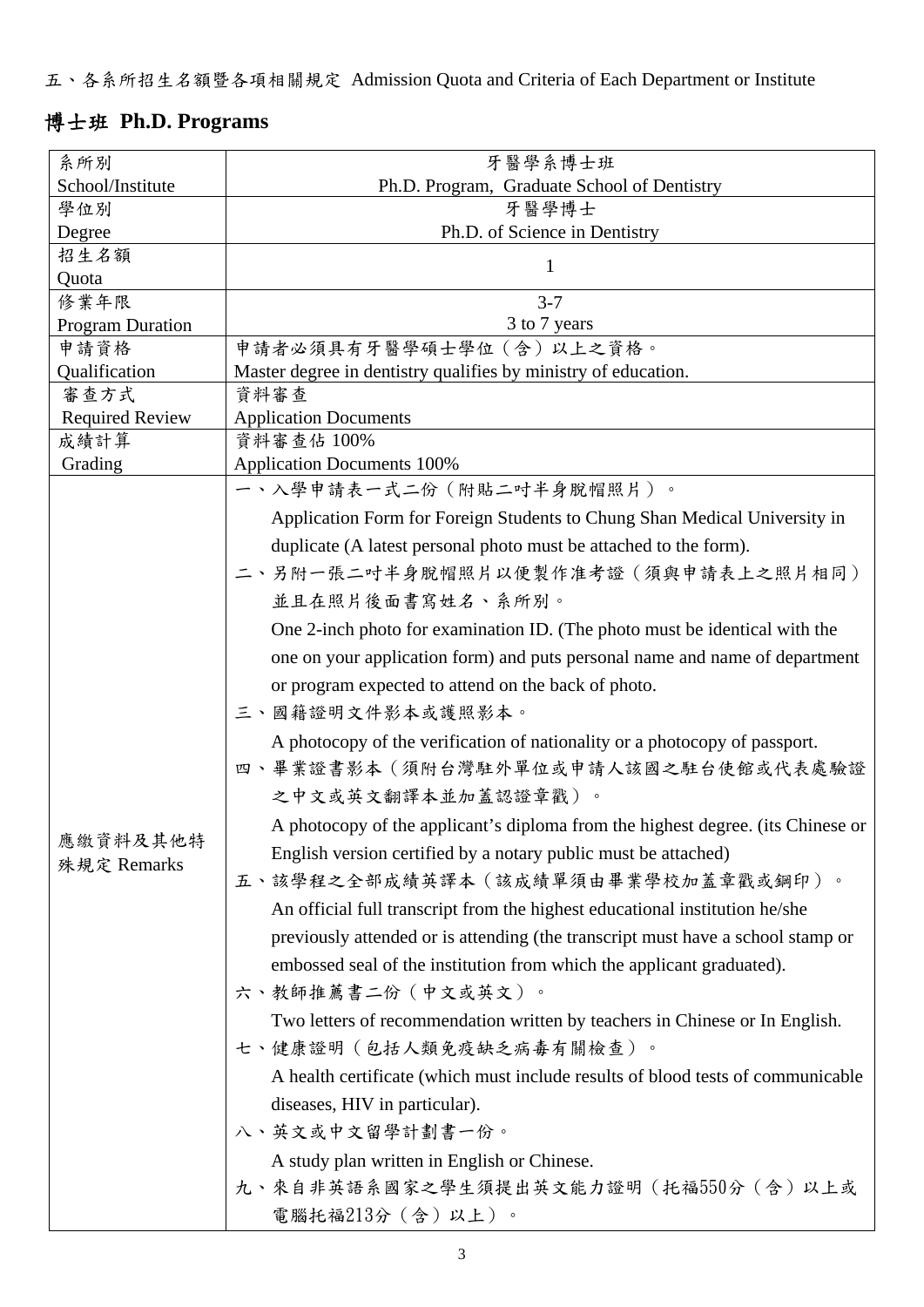五、各系所招生名額暨各項相關規定 Admission Quota and Criteria of Each Department or Institute

#### 博士班 **Ph.D. Programs**

| 系所別                     | 牙醫學系博士班                                                                         |
|-------------------------|---------------------------------------------------------------------------------|
| School/Institute        | Ph.D. Program, Graduate School of Dentistry                                     |
| 學位別                     | 牙醫學博士                                                                           |
| Degree                  | Ph.D. of Science in Dentistry                                                   |
| 招生名額                    | 1                                                                               |
| Quota                   |                                                                                 |
| 修業年限                    | $3 - 7$                                                                         |
| <b>Program Duration</b> | 3 to 7 years                                                                    |
| 申請資格                    | 申請者必須具有牙醫學碩士學位(含)以上之資格。                                                         |
| Qualification           | Master degree in dentistry qualifies by ministry of education.                  |
| 審查方式                    | 資料審查                                                                            |
| <b>Required Review</b>  | <b>Application Documents</b>                                                    |
| 成績計算                    | 資料審查佔 100%                                                                      |
| Grading                 | <b>Application Documents 100%</b>                                               |
|                         | 一、入學申請表一式二份(附貼二吋半身脫帽照片)。                                                        |
|                         | Application Form for Foreign Students to Chung Shan Medical University in       |
|                         | duplicate (A latest personal photo must be attached to the form).               |
|                         | 二、另附一張二吋半身脫帽照片以便製作准考證(須與申請表上之照片相同)                                              |
|                         | 並且在照片後面書寫姓名、系所別。                                                                |
|                         |                                                                                 |
|                         | One 2-inch photo for examination ID. (The photo must be identical with the      |
|                         | one on your application form) and puts personal name and name of department     |
|                         | or program expected to attend on the back of photo.                             |
|                         | 三、國籍證明文件影本或護照影本。                                                                |
|                         | A photocopy of the verification of nationality or a photocopy of passport.      |
|                         | 四、畢業證書影本(須附台灣駐外單位或申請人該國之駐台使館或代表處驗證                                              |
|                         | 之中文或英文翻譯本並加蓋認證章戳)。                                                              |
|                         |                                                                                 |
| 應繳資料及其他特                | A photocopy of the applicant's diploma from the highest degree. (its Chinese or |
| 殊規定 Remarks             | English version certified by a notary public must be attached)                  |
|                         | 五、該學程之全部成績英譯本(該成績單須由畢業學校加蓋章戳或鋼印)。                                               |
|                         | An official full transcript from the highest educational institution he/she     |
|                         | previously attended or is attending (the transcript must have a school stamp or |
|                         | embossed seal of the institution from which the applicant graduated).           |
|                         |                                                                                 |
|                         | 六、教師推薦書二份 (中文或英文)。                                                              |
|                         | Two letters of recommendation written by teachers in Chinese or In English.     |
|                         | 七、健康證明(包括人類免疫缺乏病毒有關檢查)。                                                         |
|                         | A health certificate (which must include results of blood tests of communicable |
|                         | diseases, HIV in particular).                                                   |
|                         | 八、英文或中文留學計劃書一份。                                                                 |
|                         |                                                                                 |
|                         | A study plan written in English or Chinese.                                     |
|                         | 九、來自非英語系國家之學生須提出英文能力證明(托福550分(含)以上或                                             |
|                         | 電腦托福213分(含)以上)。                                                                 |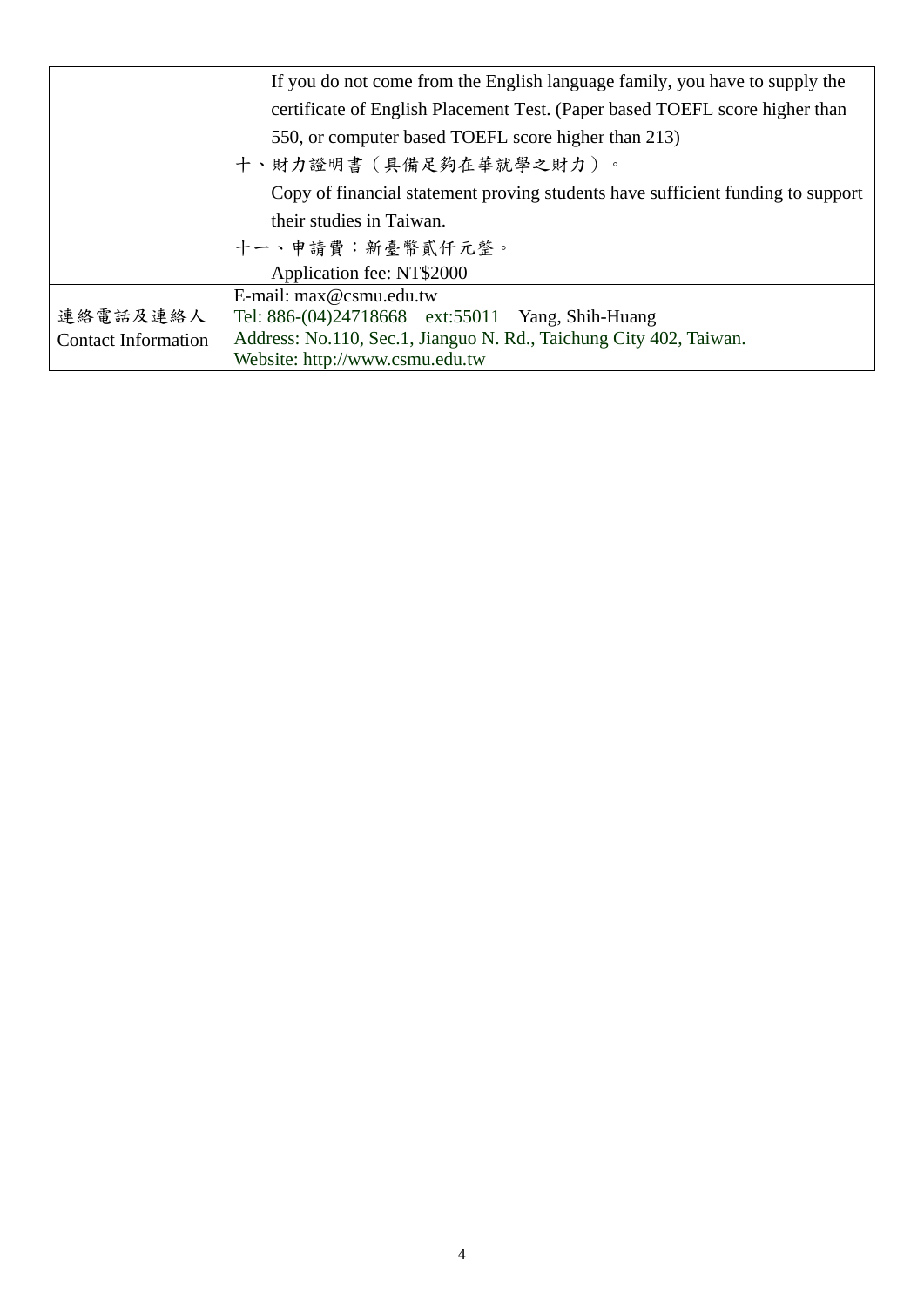|                            | If you do not come from the English language family, you have to supply the     |
|----------------------------|---------------------------------------------------------------------------------|
|                            | certificate of English Placement Test. (Paper based TOEFL score higher than     |
|                            | 550, or computer based TOEFL score higher than 213)                             |
|                            | 十、財力證明書(具備足夠在華就學之財力)。                                                           |
|                            | Copy of financial statement proving students have sufficient funding to support |
|                            | their studies in Taiwan.                                                        |
|                            | 十一、申請費:新臺幣貳仟元整。                                                                 |
|                            | Application fee: NT\$2000                                                       |
|                            | E-mail: max@csmu.edu.tw                                                         |
| 連絡電話及連絡人                   | Tel: 886-(04)24718668 ext:55011 Yang, Shih-Huang                                |
| <b>Contact Information</b> | Address: No.110, Sec.1, Jianguo N. Rd., Taichung City 402, Taiwan.              |
|                            | Website: http://www.csmu.edu.tw                                                 |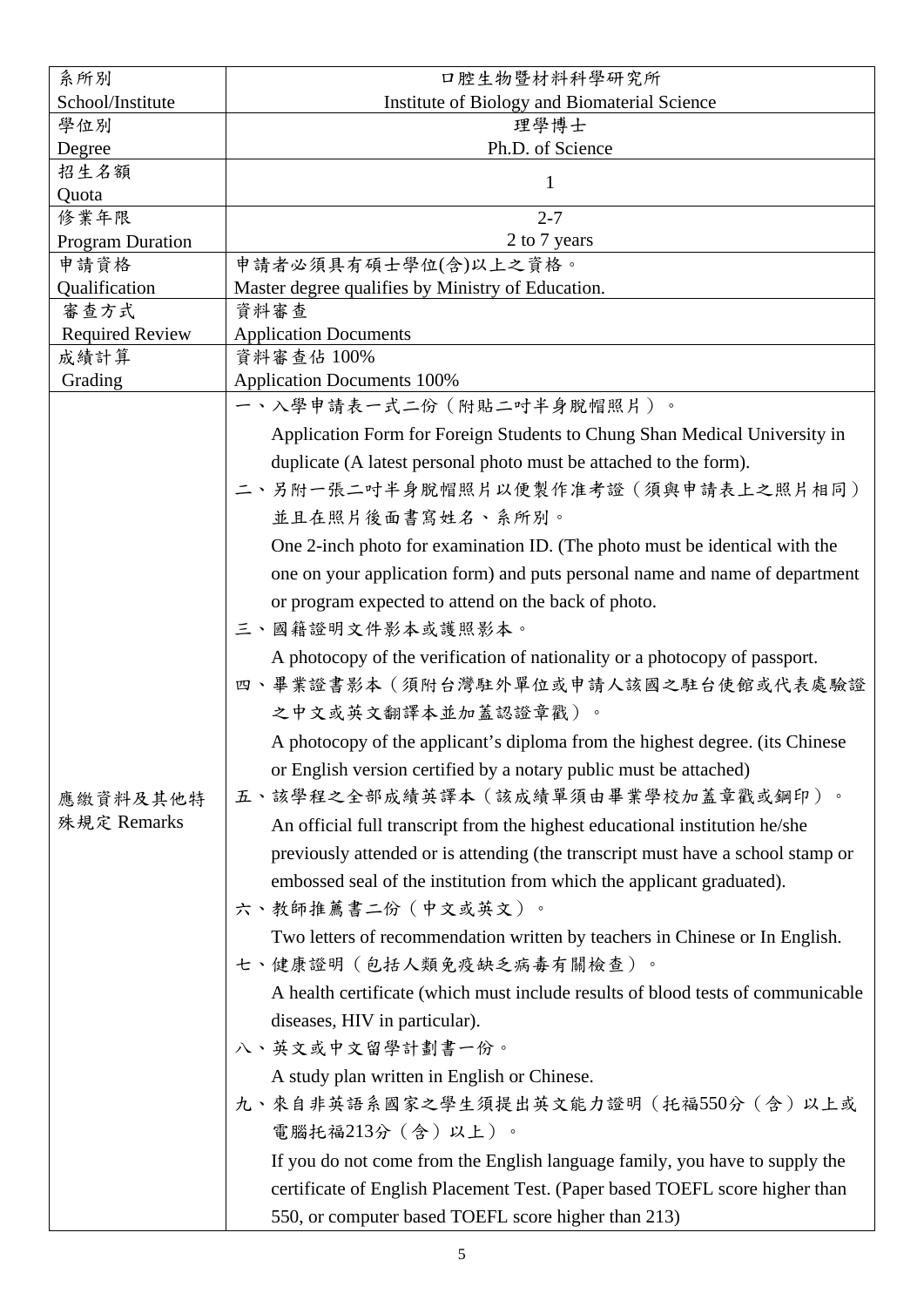| 系所別                     | 口腔生物暨材料科學研究所                                                                    |
|-------------------------|---------------------------------------------------------------------------------|
| School/Institute        | Institute of Biology and Biomaterial Science                                    |
| 學位別                     | 理學博士                                                                            |
| Degree                  | Ph.D. of Science                                                                |
| 招生名額                    | 1                                                                               |
| Quota<br>修業年限           | $2 - 7$                                                                         |
| <b>Program Duration</b> | 2 to 7 years                                                                    |
| 申請資格                    | 申請者必須具有碩士學位(含)以上之資格。                                                            |
| Qualification           | Master degree qualifies by Ministry of Education.                               |
| 審查方式                    | 資料審查                                                                            |
| <b>Required Review</b>  | <b>Application Documents</b>                                                    |
| 成績計算                    | 資料審查佔 100%                                                                      |
| Grading                 | <b>Application Documents 100%</b>                                               |
|                         | 一、入學申請表一式二份(附貼二吋半身脫帽照片)。                                                        |
|                         | Application Form for Foreign Students to Chung Shan Medical University in       |
|                         | duplicate (A latest personal photo must be attached to the form).               |
|                         | 二、另附一張二吋半身脫帽照片以便製作准考證(須與申請表上之照片相同)                                              |
|                         | 並且在照片後面書寫姓名、系所別。                                                                |
|                         | One 2-inch photo for examination ID. (The photo must be identical with the      |
|                         |                                                                                 |
|                         | one on your application form) and puts personal name and name of department     |
|                         | or program expected to attend on the back of photo.                             |
|                         | 三、國籍證明文件影本或護照影本。                                                                |
|                         | A photocopy of the verification of nationality or a photocopy of passport.      |
|                         | 四、畢業證書影本(須附台灣駐外單位或申請人該國之駐台使館或代表處驗證                                              |
|                         | 之中文或英文翻譯本並加蓋認證章戳)。                                                              |
|                         | A photocopy of the applicant's diploma from the highest degree. (its Chinese    |
|                         | or English version certified by a notary public must be attached)               |
| 應繳資料及其他特                | 五、該學程之全部成績英譯本(該成績單須由畢業學校加蓋章戳或鋼印)。                                               |
| 殊規定 Remarks             | An official full transcript from the highest educational institution he/she     |
|                         |                                                                                 |
|                         | previously attended or is attending (the transcript must have a school stamp or |
|                         | embossed seal of the institution from which the applicant graduated).           |
|                         | 六、教師推薦書二份(中文或英文)。                                                               |
|                         | Two letters of recommendation written by teachers in Chinese or In English.     |
|                         | 七、健康證明(包括人類免疫缺乏病毒有關檢查)。                                                         |
|                         | A health certificate (which must include results of blood tests of communicable |
|                         | diseases, HIV in particular).                                                   |
|                         | 八、英文或中文留學計劃書一份。                                                                 |
|                         | A study plan written in English or Chinese.                                     |
|                         | 九、來自非英語系國家之學生須提出英文能力證明(托福550分 (含)以上或                                            |
|                         |                                                                                 |
|                         | 電腦托福213分(含)以上)。                                                                 |
|                         | If you do not come from the English language family, you have to supply the     |
|                         | certificate of English Placement Test. (Paper based TOEFL score higher than     |
|                         | 550, or computer based TOEFL score higher than 213)                             |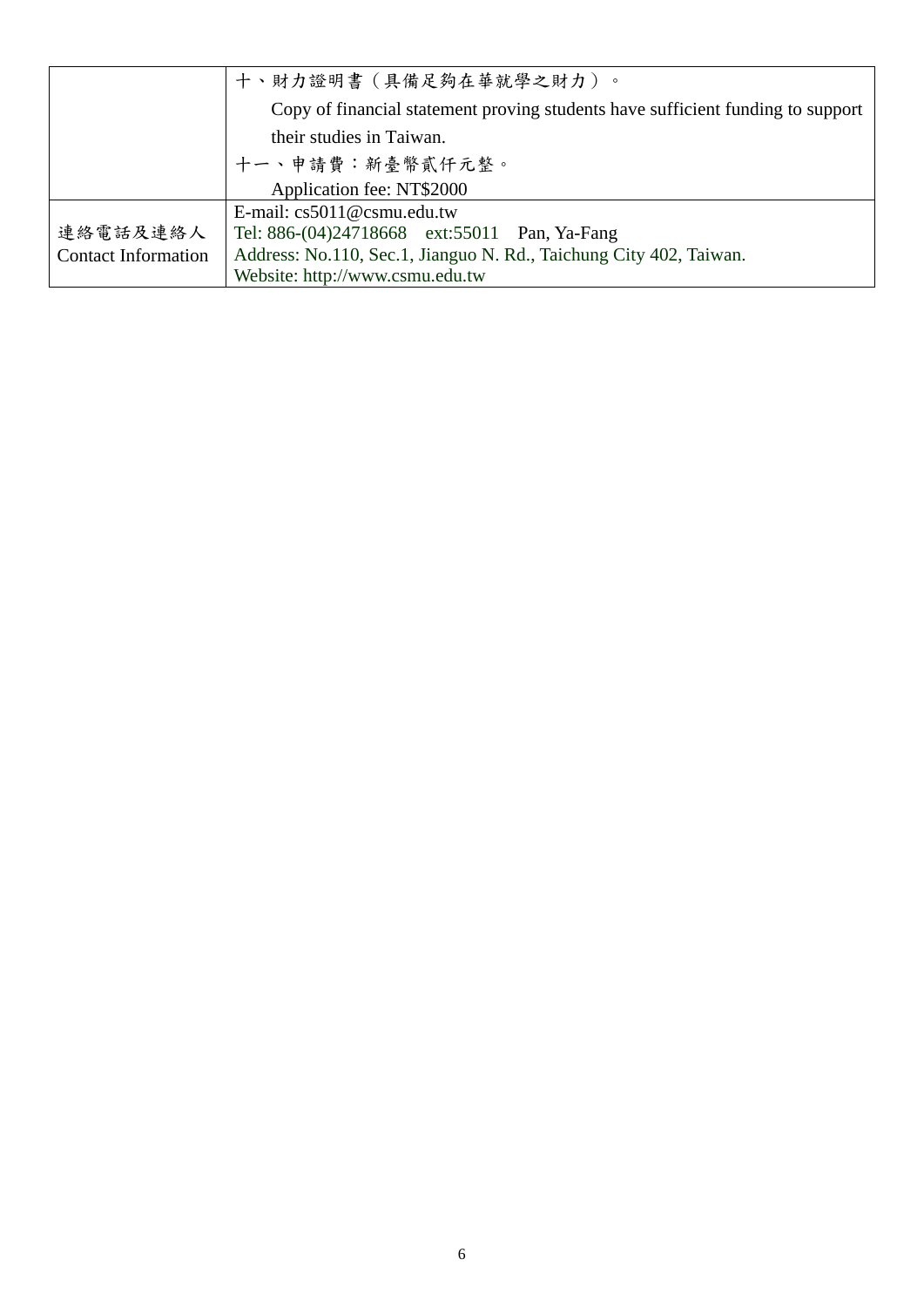|                            | 十、財力證明書(具備足夠在華就學之財力)。                                                           |
|----------------------------|---------------------------------------------------------------------------------|
|                            | Copy of financial statement proving students have sufficient funding to support |
|                            | their studies in Taiwan.                                                        |
|                            | 十一、申請費:新臺幣貳仟元整。                                                                 |
|                            | Application fee: NT\$2000                                                       |
|                            | E-mail: $cs5011@csmu.edu.tw$                                                    |
| 連絡電話及連絡人                   | Tel: 886-(04)24718668 ext:55011 Pan, Ya-Fang                                    |
| <b>Contact Information</b> | Address: No.110, Sec.1, Jianguo N. Rd., Taichung City 402, Taiwan.              |
|                            | Website: http://www.csmu.edu.tw                                                 |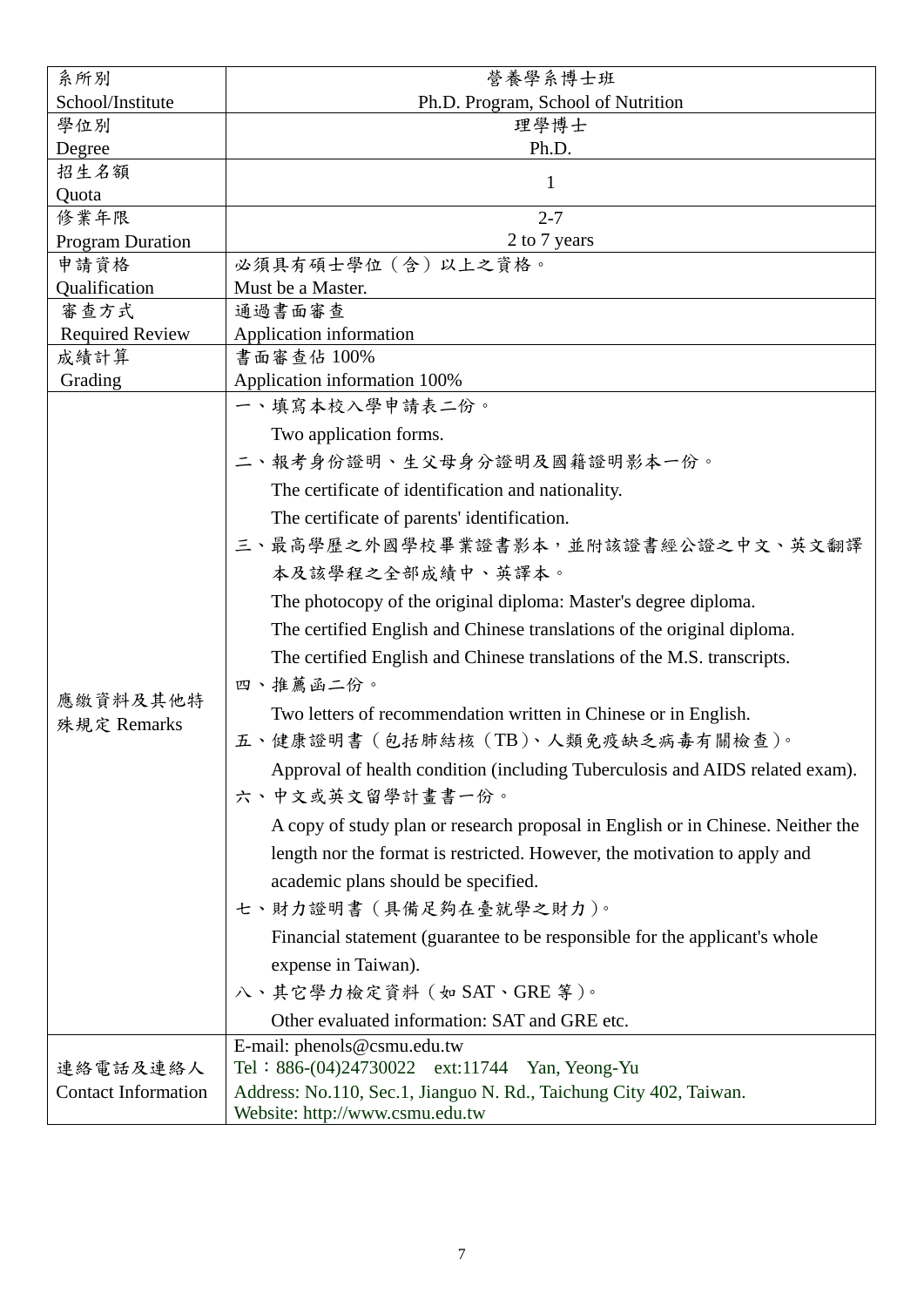| 系所別                        | 營養學系博士班                                                                                                                                                                                                                                |
|----------------------------|----------------------------------------------------------------------------------------------------------------------------------------------------------------------------------------------------------------------------------------|
| School/Institute           | Ph.D. Program, School of Nutrition                                                                                                                                                                                                     |
| 學位別                        | 理學博士                                                                                                                                                                                                                                   |
| Degree                     | Ph.D.                                                                                                                                                                                                                                  |
| 招生名額                       | $\mathbf{1}$                                                                                                                                                                                                                           |
| Quota                      |                                                                                                                                                                                                                                        |
| 修業年限                       | $2 - 7$                                                                                                                                                                                                                                |
| <b>Program Duration</b>    | 2 to 7 years                                                                                                                                                                                                                           |
| 申請資格                       | 必須具有碩士學位 (含) 以上之資格。                                                                                                                                                                                                                    |
| Qualification              | Must be a Master.                                                                                                                                                                                                                      |
| 審查方式                       | 通過書面審查                                                                                                                                                                                                                                 |
| <b>Required Review</b>     | Application information<br>書面審查佔 100%                                                                                                                                                                                                  |
| 成績計算<br>Grading            | Application information 100%                                                                                                                                                                                                           |
|                            | 一、填寫本校入學申請表二份。                                                                                                                                                                                                                         |
|                            |                                                                                                                                                                                                                                        |
|                            | Two application forms.                                                                                                                                                                                                                 |
|                            | 二、報考身份證明、生父母身分證明及國籍證明影本一份。                                                                                                                                                                                                             |
|                            | The certificate of identification and nationality.                                                                                                                                                                                     |
|                            | The certificate of parents' identification.                                                                                                                                                                                            |
|                            | 三、最高學歷之外國學校畢業證書影本,並附該證書經公證之中文、英文翻譯                                                                                                                                                                                                     |
|                            | 本及該學程之全部成績中、英譯本。                                                                                                                                                                                                                       |
|                            |                                                                                                                                                                                                                                        |
|                            | The photocopy of the original diploma: Master's degree diploma.                                                                                                                                                                        |
|                            | The certified English and Chinese translations of the original diploma.                                                                                                                                                                |
|                            | The certified English and Chinese translations of the M.S. transcripts.                                                                                                                                                                |
|                            | 四、推薦函二份。                                                                                                                                                                                                                               |
| 應繳資料及其他特                   | Two letters of recommendation written in Chinese or in English.                                                                                                                                                                        |
| 殊規定 Remarks                | 五、健康證明書(包括肺結核(TB)、人類免疫缺乏病毒有關檢查)。                                                                                                                                                                                                       |
|                            | Approval of health condition (including Tuberculosis and AIDS related exam).                                                                                                                                                           |
|                            | 六、中文或英文留學計畫書一份。                                                                                                                                                                                                                        |
|                            |                                                                                                                                                                                                                                        |
|                            | A copy of study plan or research proposal in English or in Chinese. Neither the                                                                                                                                                        |
|                            | length nor the format is restricted. However, the motivation to apply and                                                                                                                                                              |
|                            | academic plans should be specified.                                                                                                                                                                                                    |
|                            | 七、財力證明書(具備足夠在臺就學之財力)。                                                                                                                                                                                                                  |
|                            | Financial statement (guarantee to be responsible for the applicant's whole                                                                                                                                                             |
|                            | expense in Taiwan).                                                                                                                                                                                                                    |
|                            | 八、其它學力檢定資料 (如 SAT、GRE 等)。                                                                                                                                                                                                              |
|                            |                                                                                                                                                                                                                                        |
|                            |                                                                                                                                                                                                                                        |
|                            |                                                                                                                                                                                                                                        |
| <b>Contact Information</b> |                                                                                                                                                                                                                                        |
|                            |                                                                                                                                                                                                                                        |
| 連絡電話及連絡人                   | Other evaluated information: SAT and GRE etc.<br>E-mail: phenols@csmu.edu.tw<br>Tel: 886-(04)24730022 ext:11744 Yan, Yeong-Yu<br>Address: No.110, Sec.1, Jianguo N. Rd., Taichung City 402, Taiwan.<br>Website: http://www.csmu.edu.tw |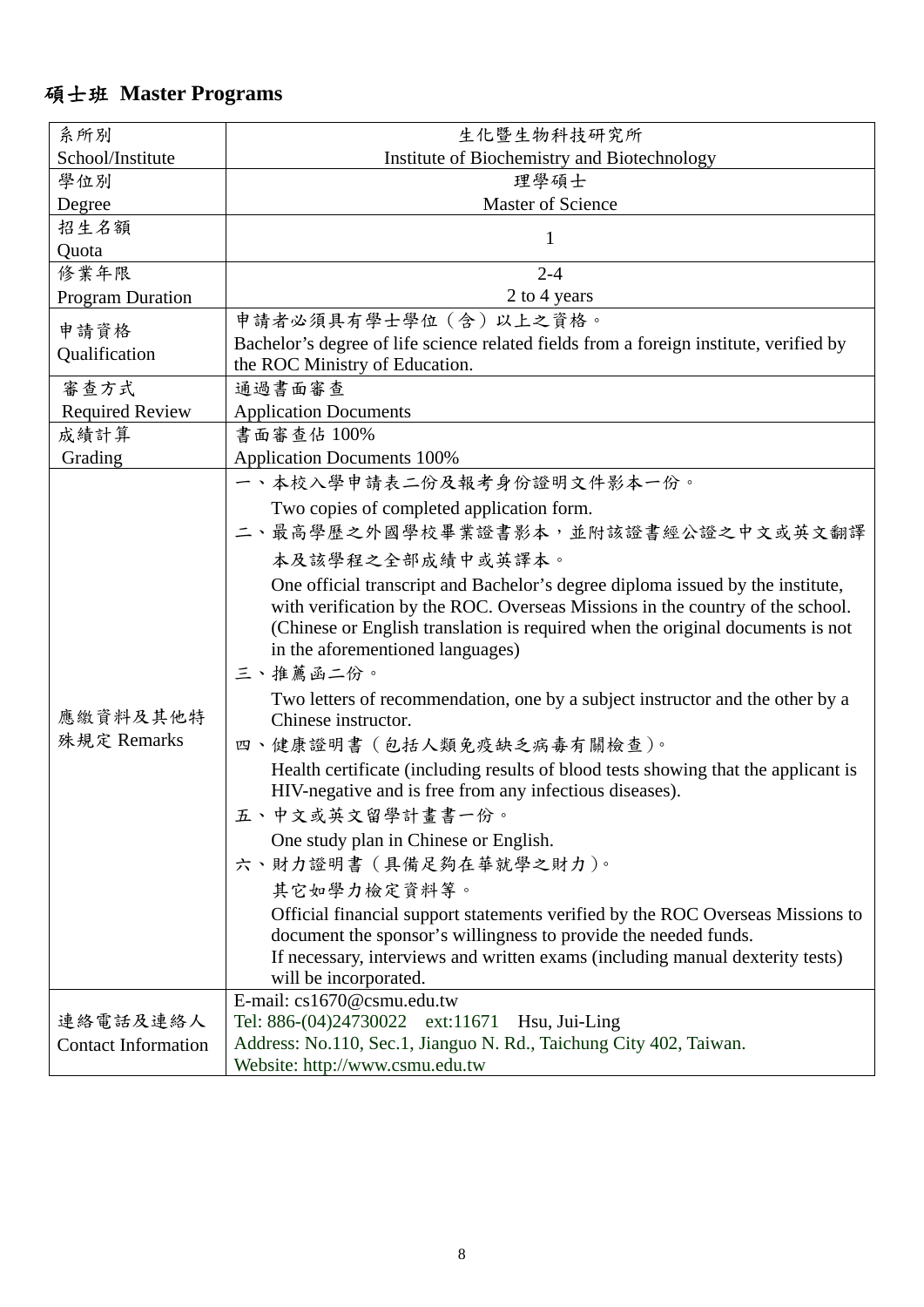#### 碩士班 **Master Programs**

| 系所別                        | 生化暨生物科技研究所                                                                                                                                        |
|----------------------------|---------------------------------------------------------------------------------------------------------------------------------------------------|
| School/Institute           | Institute of Biochemistry and Biotechnology                                                                                                       |
| 學位別                        | 理學碩士                                                                                                                                              |
| Degree                     | <b>Master of Science</b>                                                                                                                          |
| 招生名額                       |                                                                                                                                                   |
| Quota                      | 1                                                                                                                                                 |
| 修業年限                       | $2 - 4$                                                                                                                                           |
| <b>Program Duration</b>    | 2 to 4 years                                                                                                                                      |
|                            | 申請者必須具有學士學位 (含)以上之資格。                                                                                                                             |
| 申請資格                       | Bachelor's degree of life science related fields from a foreign institute, verified by                                                            |
| Qualification              | the ROC Ministry of Education.                                                                                                                    |
| 審查方式                       | 通過書面審查                                                                                                                                            |
| <b>Required Review</b>     | <b>Application Documents</b>                                                                                                                      |
| 成績計算                       | 書面審查佔 100%                                                                                                                                        |
| Grading                    | <b>Application Documents 100%</b>                                                                                                                 |
|                            | 一、本校入學申請表二份及報考身份證明文件影本一份。                                                                                                                         |
|                            | Two copies of completed application form.                                                                                                         |
|                            | 二、最高學歷之外國學校畢業證書影本,並附該證書經公證之中文或英文翻譯                                                                                                                |
|                            | 本及該學程之全部成績中或英譯本。                                                                                                                                  |
|                            | One official transcript and Bachelor's degree diploma issued by the institute,                                                                    |
|                            | with verification by the ROC. Overseas Missions in the country of the school.                                                                     |
|                            | (Chinese or English translation is required when the original documents is not                                                                    |
|                            | in the aforementioned languages)                                                                                                                  |
|                            | 三、推薦函二份。                                                                                                                                          |
|                            | Two letters of recommendation, one by a subject instructor and the other by a                                                                     |
| 應繳資料及其他特                   | Chinese instructor.                                                                                                                               |
| 殊規定 Remarks                | 四、健康證明書 (包括人類免疫缺乏病毒有關檢查)。                                                                                                                         |
|                            | Health certificate (including results of blood tests showing that the applicant is                                                                |
|                            | HIV-negative and is free from any infectious diseases).                                                                                           |
|                            | 五、中文或英文留學計畫書一份。                                                                                                                                   |
|                            | One study plan in Chinese or English.                                                                                                             |
|                            | 六、財力證明書 (具備足夠在華就學之財力)。                                                                                                                            |
|                            |                                                                                                                                                   |
|                            | 其它如學力檢定資料等。                                                                                                                                       |
|                            | Official financial support statements verified by the ROC Overseas Missions to<br>document the sponsor's willingness to provide the needed funds. |
|                            | If necessary, interviews and written exams (including manual dexterity tests)                                                                     |
|                            | will be incorporated.                                                                                                                             |
|                            | E-mail: cs1670@csmu.edu.tw                                                                                                                        |
| 連絡電話及連絡人                   | Tel: 886-(04)24730022 ext:11671 Hsu, Jui-Ling                                                                                                     |
| <b>Contact Information</b> | Address: No.110, Sec.1, Jianguo N. Rd., Taichung City 402, Taiwan.                                                                                |
|                            | Website: http://www.csmu.edu.tw                                                                                                                   |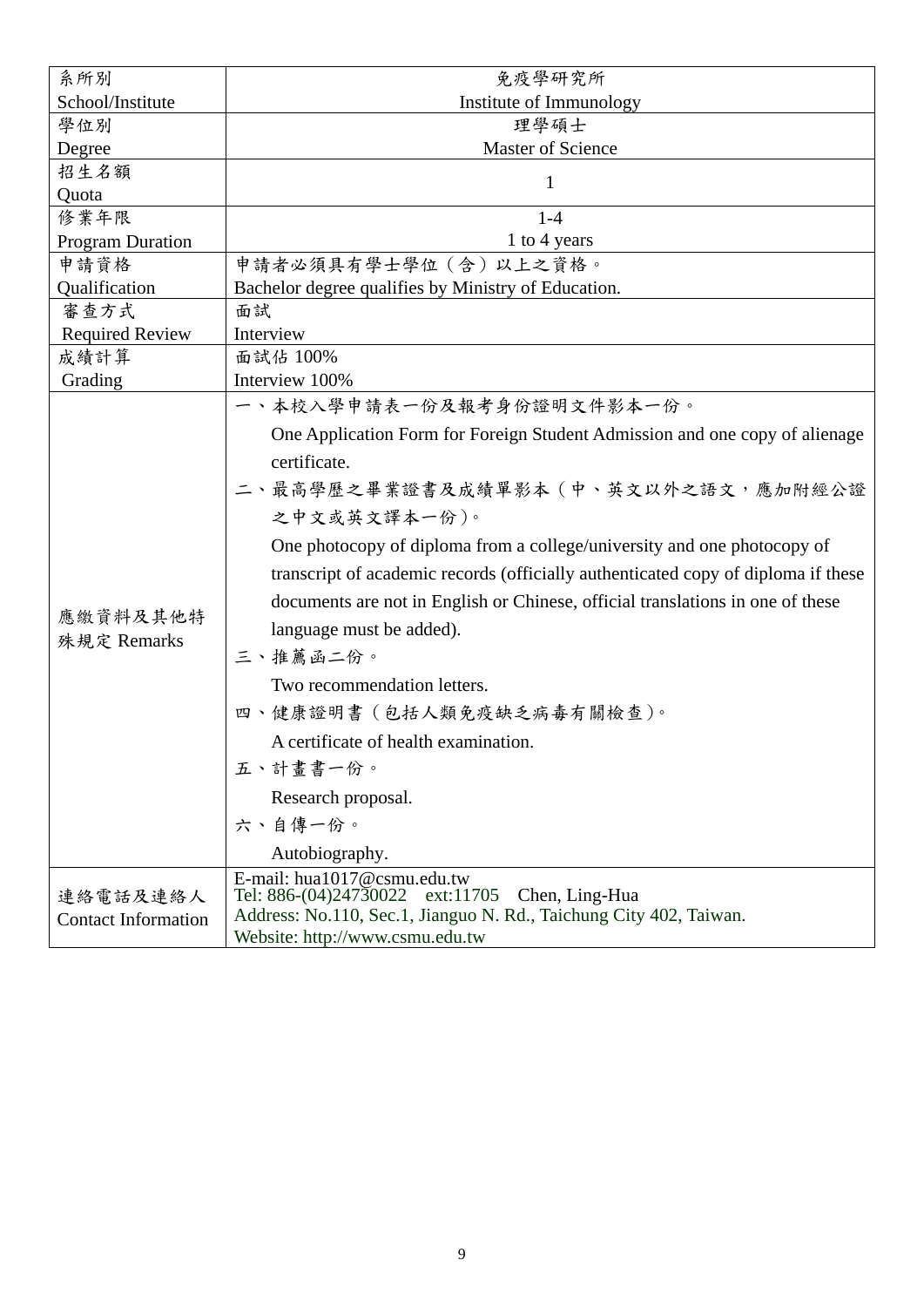| 系所別                                    | 免疫學研究所                                                                                                                                                                                                                                                                                                                                                                                                                                                                                                                                                                                       |
|----------------------------------------|----------------------------------------------------------------------------------------------------------------------------------------------------------------------------------------------------------------------------------------------------------------------------------------------------------------------------------------------------------------------------------------------------------------------------------------------------------------------------------------------------------------------------------------------------------------------------------------------|
| School/Institute                       | Institute of Immunology                                                                                                                                                                                                                                                                                                                                                                                                                                                                                                                                                                      |
| 學位別                                    | 理學碩士                                                                                                                                                                                                                                                                                                                                                                                                                                                                                                                                                                                         |
| Degree                                 | Master of Science                                                                                                                                                                                                                                                                                                                                                                                                                                                                                                                                                                            |
| 招生名額                                   | $\mathbf{1}$                                                                                                                                                                                                                                                                                                                                                                                                                                                                                                                                                                                 |
| Quota                                  |                                                                                                                                                                                                                                                                                                                                                                                                                                                                                                                                                                                              |
| 修業年限                                   | $1-4$                                                                                                                                                                                                                                                                                                                                                                                                                                                                                                                                                                                        |
| <b>Program Duration</b>                | 1 to 4 years                                                                                                                                                                                                                                                                                                                                                                                                                                                                                                                                                                                 |
| 申請資格                                   | 申請者必須具有學士學位(含)以上之資格。                                                                                                                                                                                                                                                                                                                                                                                                                                                                                                                                                                         |
| Qualification                          | Bachelor degree qualifies by Ministry of Education.                                                                                                                                                                                                                                                                                                                                                                                                                                                                                                                                          |
| 審查方式                                   | 面試                                                                                                                                                                                                                                                                                                                                                                                                                                                                                                                                                                                           |
| <b>Required Review</b>                 | Interview                                                                                                                                                                                                                                                                                                                                                                                                                                                                                                                                                                                    |
| 成績計算                                   | 面試佔 100%<br>Interview 100%                                                                                                                                                                                                                                                                                                                                                                                                                                                                                                                                                                   |
| Grading                                | 一、本校入學申請表一份及報考身份證明文件影本一份。                                                                                                                                                                                                                                                                                                                                                                                                                                                                                                                                                                    |
| 應繳資料及其他特<br>殊規定 Remarks                | One Application Form for Foreign Student Admission and one copy of alienage<br>certificate.<br>二、最高學歷之畢業證書及成績單影本(中、英文以外之語文,應加附經公證<br>之中文或英文譯本一份)。<br>One photocopy of diploma from a college/university and one photocopy of<br>transcript of academic records (officially authenticated copy of diploma if these<br>documents are not in English or Chinese, official translations in one of these<br>language must be added).<br>三、推薦函二份。<br>Two recommendation letters.<br>四、健康證明書 (包括人類免疫缺乏病毒有關檢查)。<br>A certificate of health examination.<br>五、計畫書一份。<br>Research proposal.<br>六、自傳一份。 |
| 連絡電話及連絡人<br><b>Contact Information</b> | Autobiography.<br>E-mail: hua1017@csmu.edu.tw<br>Tel: 886-(04)24730022 ext:11705<br>Chen, Ling-Hua<br>Address: No.110, Sec.1, Jianguo N. Rd., Taichung City 402, Taiwan.<br>Website: http://www.csmu.edu.tw                                                                                                                                                                                                                                                                                                                                                                                  |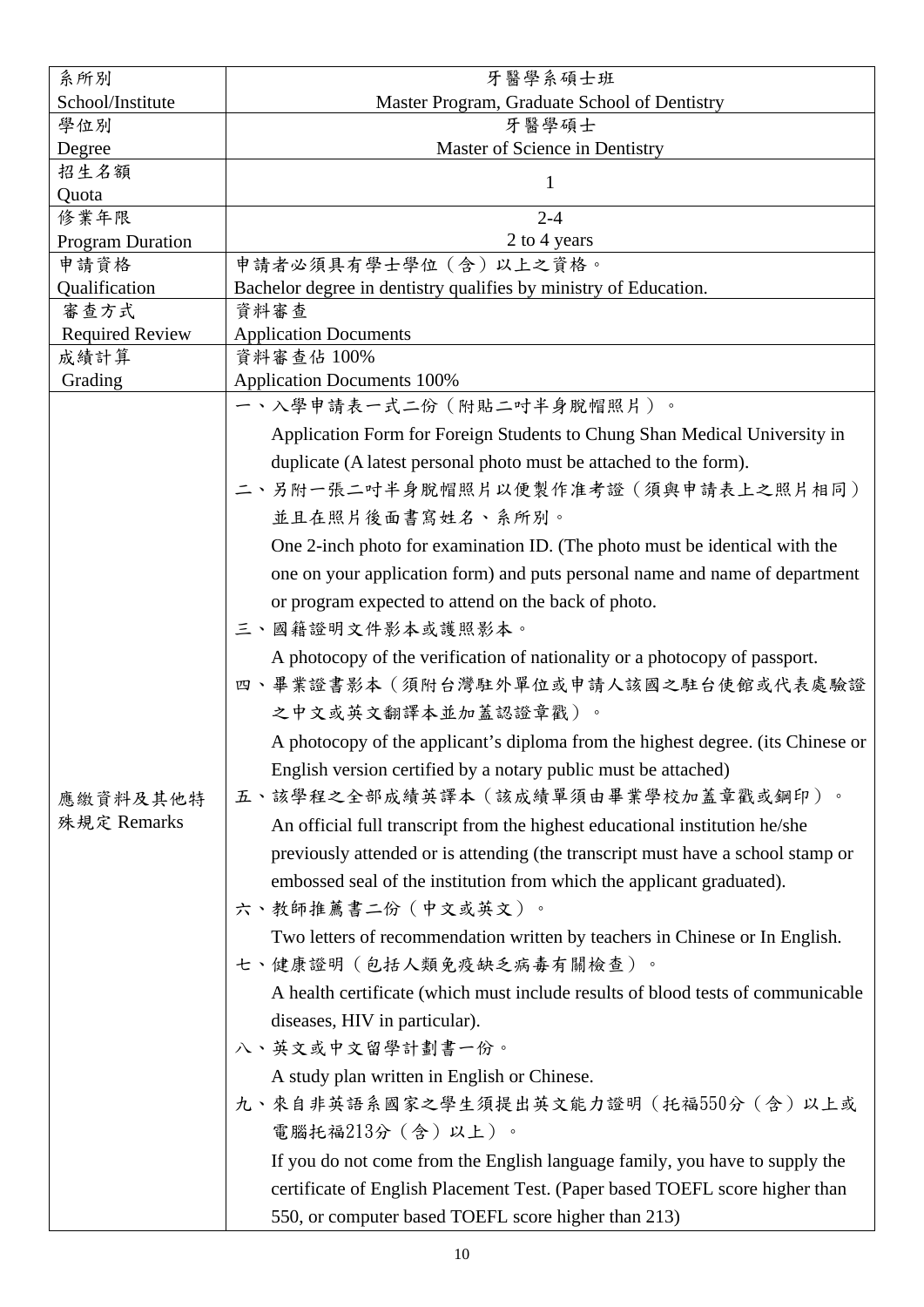| 系所別                     | 牙醫學系碩士班                                                                         |
|-------------------------|---------------------------------------------------------------------------------|
| School/Institute        | Master Program, Graduate School of Dentistry                                    |
| 學位別                     | 牙醫學碩士                                                                           |
| Degree                  | Master of Science in Dentistry                                                  |
| 招生名額<br>Quota           | 1                                                                               |
| 修業年限                    | $2 - 4$                                                                         |
| <b>Program Duration</b> | 2 to 4 years                                                                    |
| 申請資格                    | 申請者必須具有學士學位(含)以上之資格。                                                            |
| Qualification           | Bachelor degree in dentistry qualifies by ministry of Education.                |
| 審查方式                    | 資料審查                                                                            |
| <b>Required Review</b>  | <b>Application Documents</b>                                                    |
| 成績計算                    | 資料審查佔 100%                                                                      |
| Grading                 | <b>Application Documents 100%</b><br>一、入學申請表一式二份(附貼二吋半身脫帽照片)。                   |
|                         |                                                                                 |
|                         | Application Form for Foreign Students to Chung Shan Medical University in       |
|                         | duplicate (A latest personal photo must be attached to the form).               |
|                         | 二、另附一張二吋半身脫帽照片以便製作准考證(須與申請表上之照片相同)                                              |
|                         | 並且在照片後面書寫姓名、系所別。                                                                |
|                         | One 2-inch photo for examination ID. (The photo must be identical with the      |
|                         | one on your application form) and puts personal name and name of department     |
|                         | or program expected to attend on the back of photo.                             |
|                         | 三、國籍證明文件影本或護照影本。                                                                |
|                         | A photocopy of the verification of nationality or a photocopy of passport.      |
|                         | 四、畢業證書影本(須附台灣駐外單位或申請人該國之駐台使館或代表處驗證                                              |
|                         |                                                                                 |
|                         | 之中文或英文翻譯本並加蓋認證章戳)。                                                              |
|                         | A photocopy of the applicant's diploma from the highest degree. (its Chinese or |
|                         | English version certified by a notary public must be attached)                  |
| 應繳資料及其他特                | 五、該學程之全部成績英譯本(該成績單須由畢業學校加蓋章戳或鋼印)。                                               |
| 殊規定 Remarks             | An official full transcript from the highest educational institution he/she     |
|                         | previously attended or is attending (the transcript must have a school stamp or |
|                         | embossed seal of the institution from which the applicant graduated).           |
|                         | 六、教師推薦書二份(中文或英文)。                                                               |
|                         | Two letters of recommendation written by teachers in Chinese or In English.     |
|                         | 七、健康證明(包括人類免疫缺乏病毒有關檢查)。                                                         |
|                         |                                                                                 |
|                         | A health certificate (which must include results of blood tests of communicable |
|                         | diseases, HIV in particular).                                                   |
|                         | 八、英文或中文留學計劃書一份。                                                                 |
|                         | A study plan written in English or Chinese.                                     |
|                         | 九、來自非英語系國家之學生須提出英文能力證明(托福550分 (含) 以上或                                           |
|                         | 電腦托福213分(含)以上)。                                                                 |
|                         | If you do not come from the English language family, you have to supply the     |
|                         | certificate of English Placement Test. (Paper based TOEFL score higher than     |
|                         | 550, or computer based TOEFL score higher than 213)                             |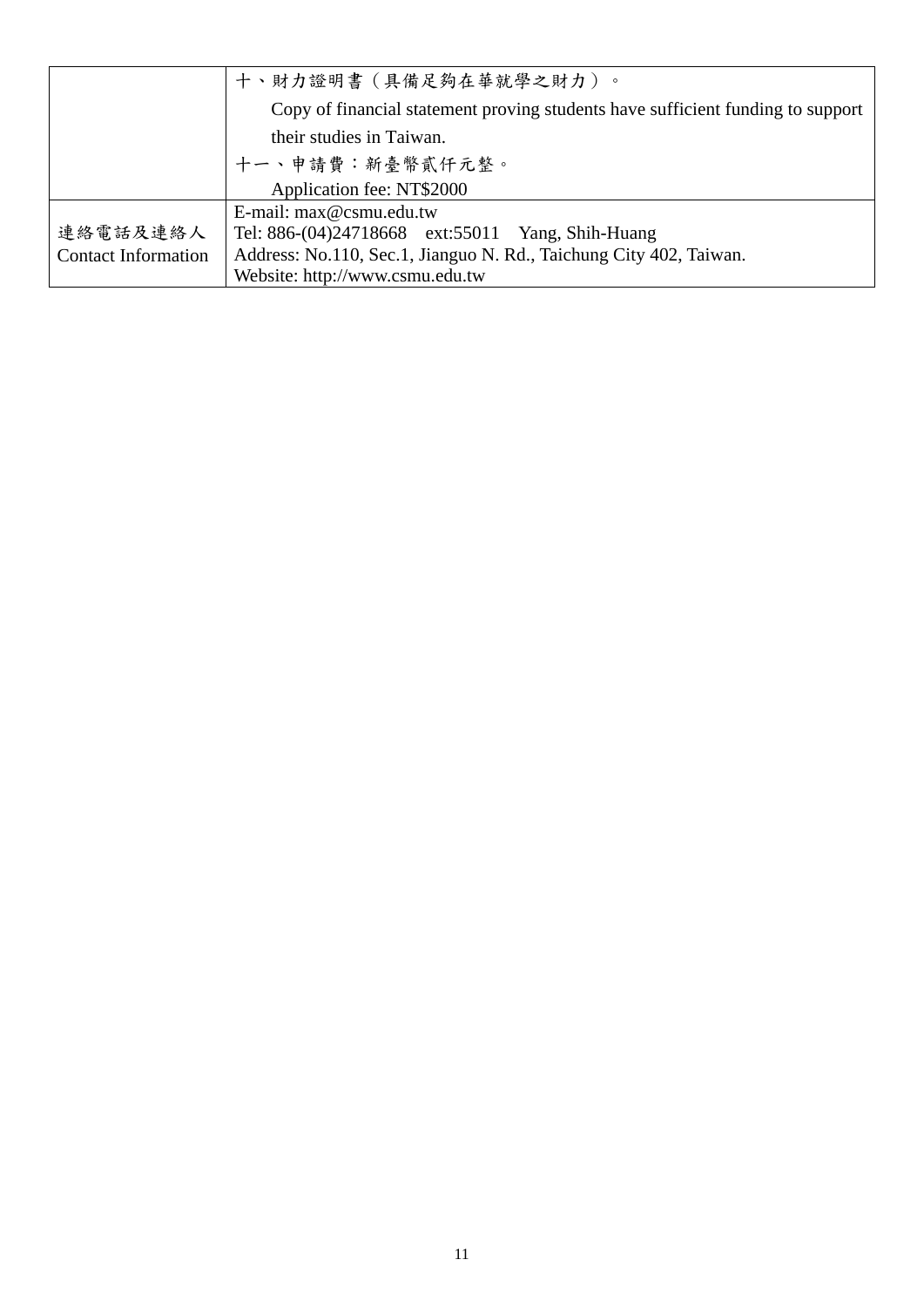|                            | 十、財力證明書(具備足夠在華就學之財力)。                                                           |
|----------------------------|---------------------------------------------------------------------------------|
|                            | Copy of financial statement proving students have sufficient funding to support |
|                            | their studies in Taiwan.                                                        |
|                            | 十一、申請費:新臺幣貳仟元整。                                                                 |
|                            | Application fee: NT\$2000                                                       |
|                            | E-mail: $max@csmu.edu.tw$                                                       |
| 連絡電話及連絡人                   | Tel: 886-(04)24718668 ext:55011 Yang, Shih-Huang                                |
| <b>Contact Information</b> | Address: No.110, Sec.1, Jianguo N. Rd., Taichung City 402, Taiwan.              |
|                            | Website: http://www.csmu.edu.tw                                                 |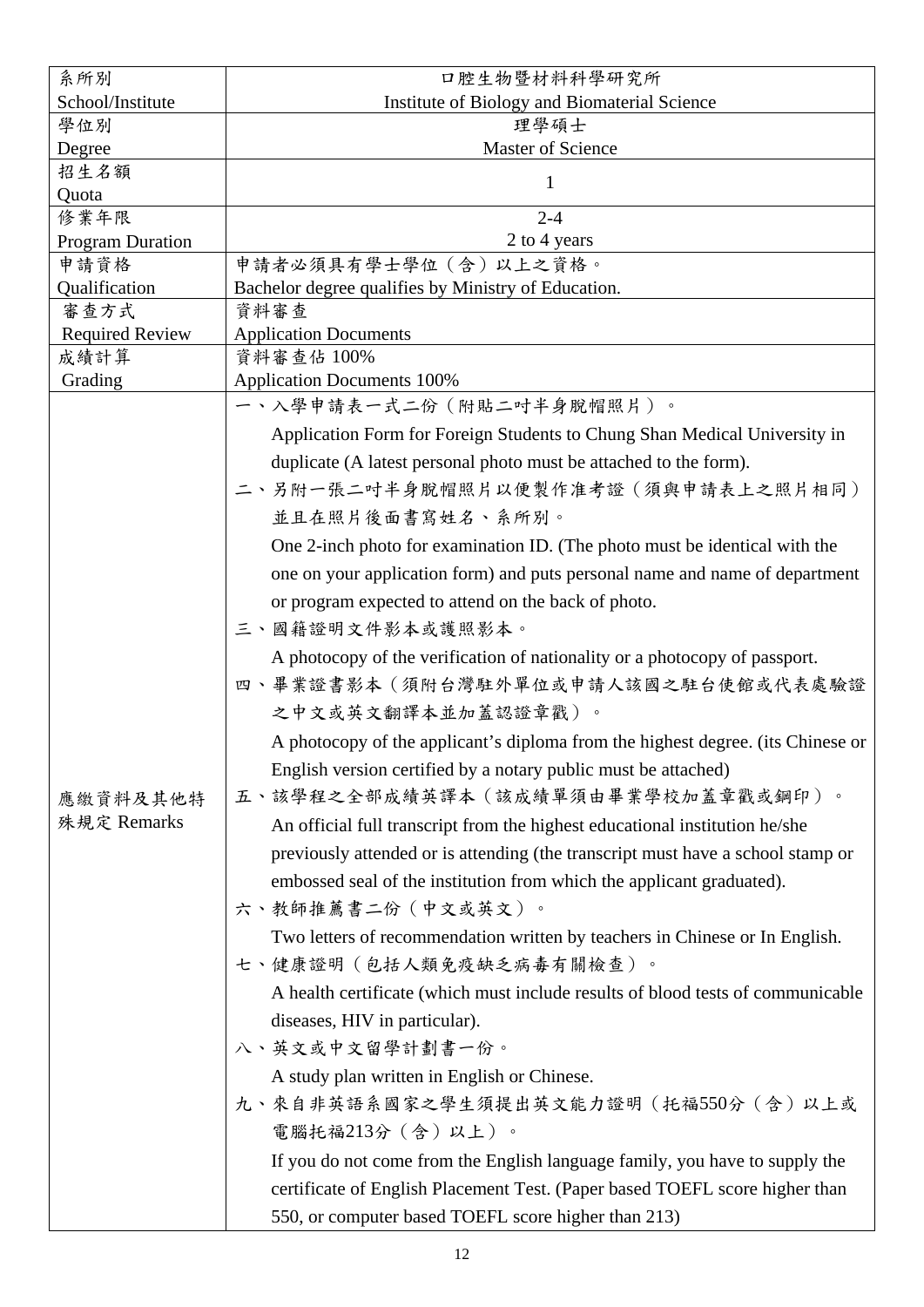| 系所別                     | 口腔生物暨材料科學研究所                                                                    |
|-------------------------|---------------------------------------------------------------------------------|
| School/Institute        | Institute of Biology and Biomaterial Science                                    |
| 學位別                     | 理學碩士                                                                            |
| Degree                  | Master of Science                                                               |
| 招生名額<br>Quota           | 1                                                                               |
| 修業年限                    | $2 - 4$                                                                         |
| <b>Program Duration</b> | 2 to 4 years                                                                    |
| 申請資格                    | 申請者必須具有學士學位(含)以上之資格。                                                            |
| Qualification           | Bachelor degree qualifies by Ministry of Education.                             |
| 審查方式                    | 資料審查                                                                            |
| <b>Required Review</b>  | <b>Application Documents</b>                                                    |
| 成績計算                    | 資料審查佔 100%                                                                      |
| Grading                 | <b>Application Documents 100%</b>                                               |
|                         | 一、入學申請表一式二份(附貼二吋半身脫帽照片)。                                                        |
|                         | Application Form for Foreign Students to Chung Shan Medical University in       |
|                         | duplicate (A latest personal photo must be attached to the form).               |
|                         | 二、另附一張二吋半身脫帽照片以便製作准考證(須與申請表上之照片相同)                                              |
|                         | 並且在照片後面書寫姓名、系所別。                                                                |
|                         | One 2-inch photo for examination ID. (The photo must be identical with the      |
|                         | one on your application form) and puts personal name and name of department     |
|                         |                                                                                 |
|                         | or program expected to attend on the back of photo.                             |
|                         | 三、國籍證明文件影本或護照影本。                                                                |
|                         | A photocopy of the verification of nationality or a photocopy of passport.      |
|                         | 四、畢業證書影本(須附台灣駐外單位或申請人該國之駐台使館或代表處驗證                                              |
|                         | 之中文或英文翻譯本並加蓋認證章戳)。                                                              |
|                         | A photocopy of the applicant's diploma from the highest degree. (its Chinese or |
|                         | English version certified by a notary public must be attached)                  |
| 應繳資料及其他特                | 五、該學程之全部成績英譯本(該成績單須由畢業學校加蓋章戳或鋼印)。                                               |
| 殊規定 Remarks             | An official full transcript from the highest educational institution he/she     |
|                         |                                                                                 |
|                         | previously attended or is attending (the transcript must have a school stamp or |
|                         | embossed seal of the institution from which the applicant graduated).           |
|                         | 六、教師推薦書二份(中文或英文)。                                                               |
|                         | Two letters of recommendation written by teachers in Chinese or In English.     |
|                         | 七、健康證明(包括人類免疫缺乏病毒有關檢查)。                                                         |
|                         | A health certificate (which must include results of blood tests of communicable |
|                         | diseases, HIV in particular).                                                   |
|                         | 八、英文或中文留學計劃書一份。                                                                 |
|                         | A study plan written in English or Chinese.                                     |
|                         | 九、來自非英語系國家之學生須提出英文能力證明(托福550分 (含)以上或                                            |
|                         |                                                                                 |
|                         | 電腦托福213分(含)以上)。                                                                 |
|                         | If you do not come from the English language family, you have to supply the     |
|                         | certificate of English Placement Test. (Paper based TOEFL score higher than     |
|                         | 550, or computer based TOEFL score higher than 213)                             |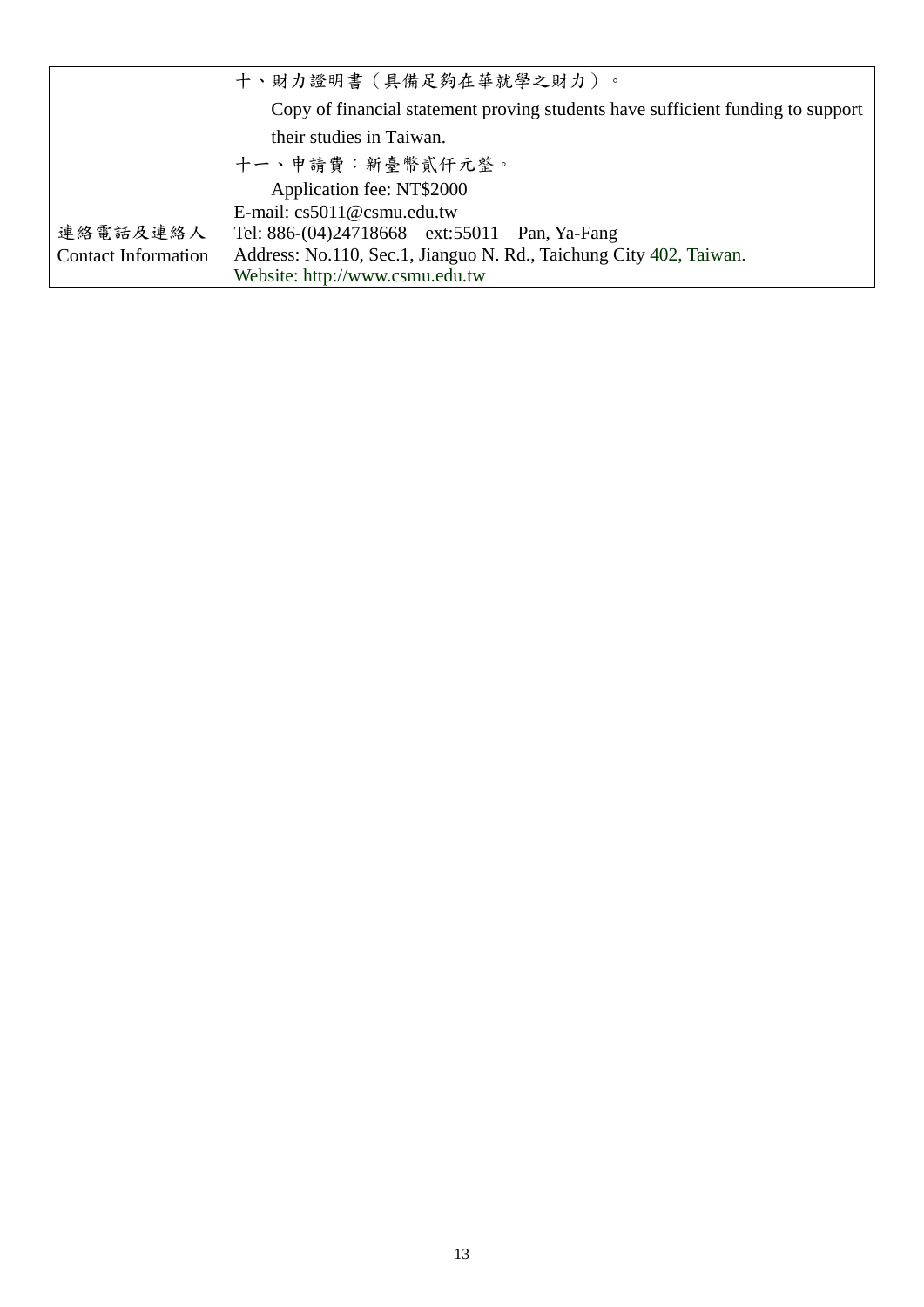|                            | 十、財力證明書(具備足夠在華就學之財力)。                                                           |
|----------------------------|---------------------------------------------------------------------------------|
|                            | Copy of financial statement proving students have sufficient funding to support |
|                            | their studies in Taiwan.                                                        |
|                            | 十一、申請費:新臺幣貳仟元整。                                                                 |
|                            | Application fee: NT\$2000                                                       |
|                            | E-mail: $cs5011@csmu.edu.tw$                                                    |
| 連絡電話及連絡人                   | Tel: 886-(04)24718668 ext:55011 Pan, Ya-Fang                                    |
| <b>Contact Information</b> | Address: No.110, Sec.1, Jianguo N. Rd., Taichung City 402, Taiwan.              |
|                            | Website: http://www.csmu.edu.tw                                                 |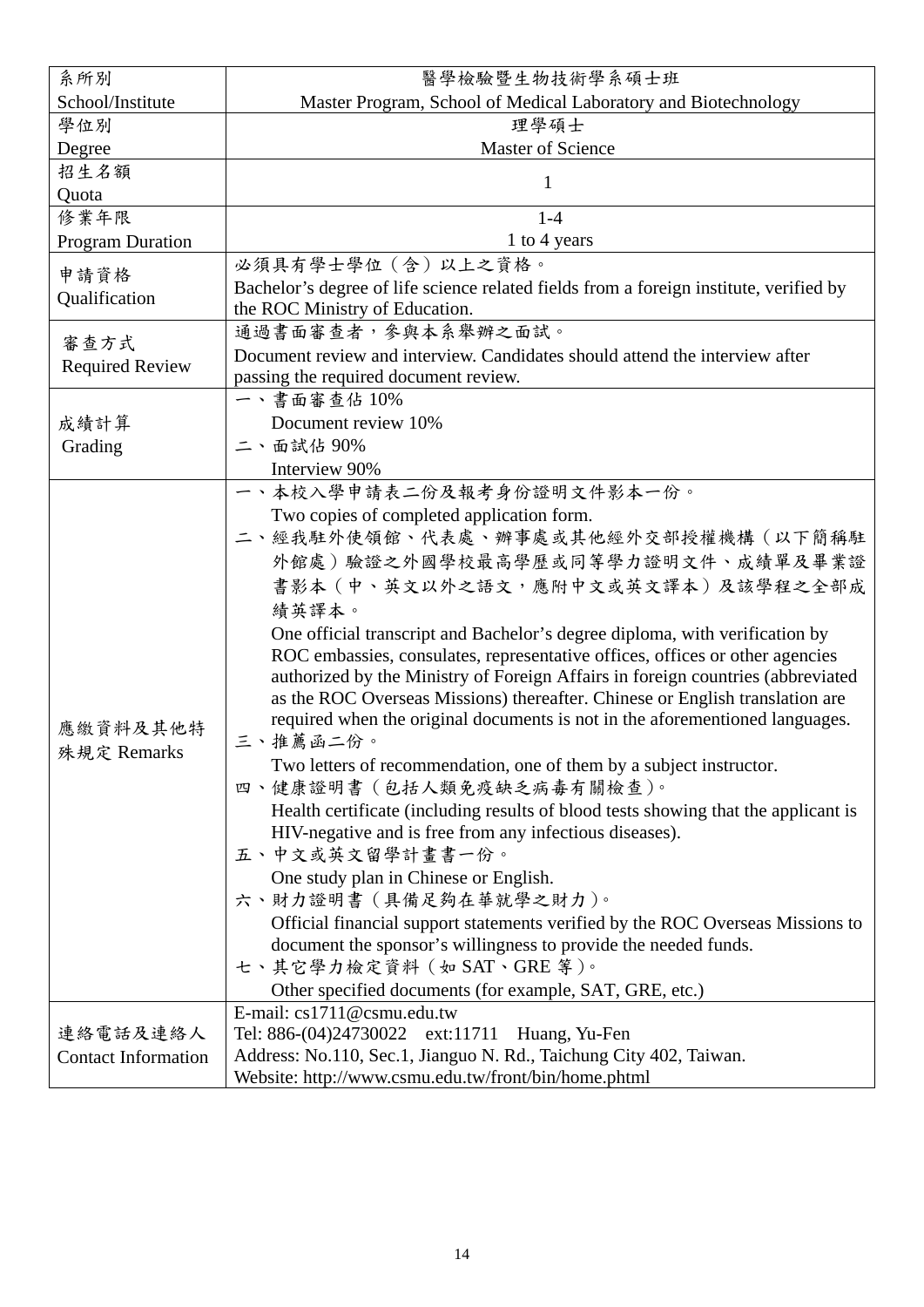| 系所別                        | 醫學檢驗暨生物技術學系碩士班                                                                                                                                |  |  |  |  |  |
|----------------------------|-----------------------------------------------------------------------------------------------------------------------------------------------|--|--|--|--|--|
| School/Institute           | Master Program, School of Medical Laboratory and Biotechnology                                                                                |  |  |  |  |  |
| 學位別                        | 理學碩士                                                                                                                                          |  |  |  |  |  |
| Degree                     | Master of Science                                                                                                                             |  |  |  |  |  |
| 招生名額                       | 1                                                                                                                                             |  |  |  |  |  |
| Quota                      |                                                                                                                                               |  |  |  |  |  |
| 修業年限                       | $1 - 4$                                                                                                                                       |  |  |  |  |  |
| <b>Program Duration</b>    | 1 to 4 years                                                                                                                                  |  |  |  |  |  |
| 申請資格                       | 必須具有學士學位 (含) 以上之資格。                                                                                                                           |  |  |  |  |  |
| Qualification              | Bachelor's degree of life science related fields from a foreign institute, verified by                                                        |  |  |  |  |  |
|                            | the ROC Ministry of Education.                                                                                                                |  |  |  |  |  |
| 審查方式                       | 通過書面審查者,參與本系舉辦之面試。                                                                                                                            |  |  |  |  |  |
| <b>Required Review</b>     | Document review and interview. Candidates should attend the interview after                                                                   |  |  |  |  |  |
|                            | passing the required document review.                                                                                                         |  |  |  |  |  |
|                            | 一、書面審查佔10%                                                                                                                                    |  |  |  |  |  |
| 成績計算                       | Document review 10%                                                                                                                           |  |  |  |  |  |
| Grading                    | 二、面試佔90%                                                                                                                                      |  |  |  |  |  |
|                            | Interview 90%                                                                                                                                 |  |  |  |  |  |
|                            | 一、本校入學申請表二份及報考身份證明文件影本一份。                                                                                                                     |  |  |  |  |  |
|                            | Two copies of completed application form.                                                                                                     |  |  |  |  |  |
|                            | 二、經我駐外使領館、代表處、辦事處或其他經外交部授權機構(以下簡稱駐                                                                                                            |  |  |  |  |  |
|                            | 外館處)驗證之外國學校最高學歷或同等學力證明文件、成績單及畢業證                                                                                                              |  |  |  |  |  |
|                            | 書影本 (中、英文以外之語文,應附中文或英文譯本)及該學程之全部成                                                                                                             |  |  |  |  |  |
|                            | 績英譯本。                                                                                                                                         |  |  |  |  |  |
|                            | One official transcript and Bachelor's degree diploma, with verification by                                                                   |  |  |  |  |  |
|                            | ROC embassies, consulates, representative offices, offices or other agencies                                                                  |  |  |  |  |  |
|                            | authorized by the Ministry of Foreign Affairs in foreign countries (abbreviated                                                               |  |  |  |  |  |
|                            | as the ROC Overseas Missions) thereafter. Chinese or English translation are                                                                  |  |  |  |  |  |
| 應繳資料及其他特                   | required when the original documents is not in the aforementioned languages.                                                                  |  |  |  |  |  |
| 殊規定 Remarks                | 三、推薦函二份。                                                                                                                                      |  |  |  |  |  |
|                            | Two letters of recommendation, one of them by a subject instructor.                                                                           |  |  |  |  |  |
|                            | 四、健康證明書 (包括人類免疫缺乏病毒有關檢查)。                                                                                                                     |  |  |  |  |  |
|                            | Health certificate (including results of blood tests showing that the applicant is<br>HIV-negative and is free from any infectious diseases). |  |  |  |  |  |
|                            | 五、中文或英文留學計畫書一份。                                                                                                                               |  |  |  |  |  |
|                            | One study plan in Chinese or English.                                                                                                         |  |  |  |  |  |
|                            | 六、財力證明書 (具備足夠在華就學之財力)。                                                                                                                        |  |  |  |  |  |
|                            | Official financial support statements verified by the ROC Overseas Missions to                                                                |  |  |  |  |  |
|                            | document the sponsor's willingness to provide the needed funds.                                                                               |  |  |  |  |  |
|                            | 七、其它學力檢定資料 (如 SAT、GRE 等)。                                                                                                                     |  |  |  |  |  |
|                            | Other specified documents (for example, SAT, GRE, etc.)                                                                                       |  |  |  |  |  |
|                            | E-mail: cs1711@csmu.edu.tw                                                                                                                    |  |  |  |  |  |
| 連絡電話及連絡人                   | Tel: 886-(04)24730022 ext:11711 Huang, Yu-Fen                                                                                                 |  |  |  |  |  |
| <b>Contact Information</b> | Address: No.110, Sec.1, Jianguo N. Rd., Taichung City 402, Taiwan.                                                                            |  |  |  |  |  |
|                            | Website: http://www.csmu.edu.tw/front/bin/home.phtml                                                                                          |  |  |  |  |  |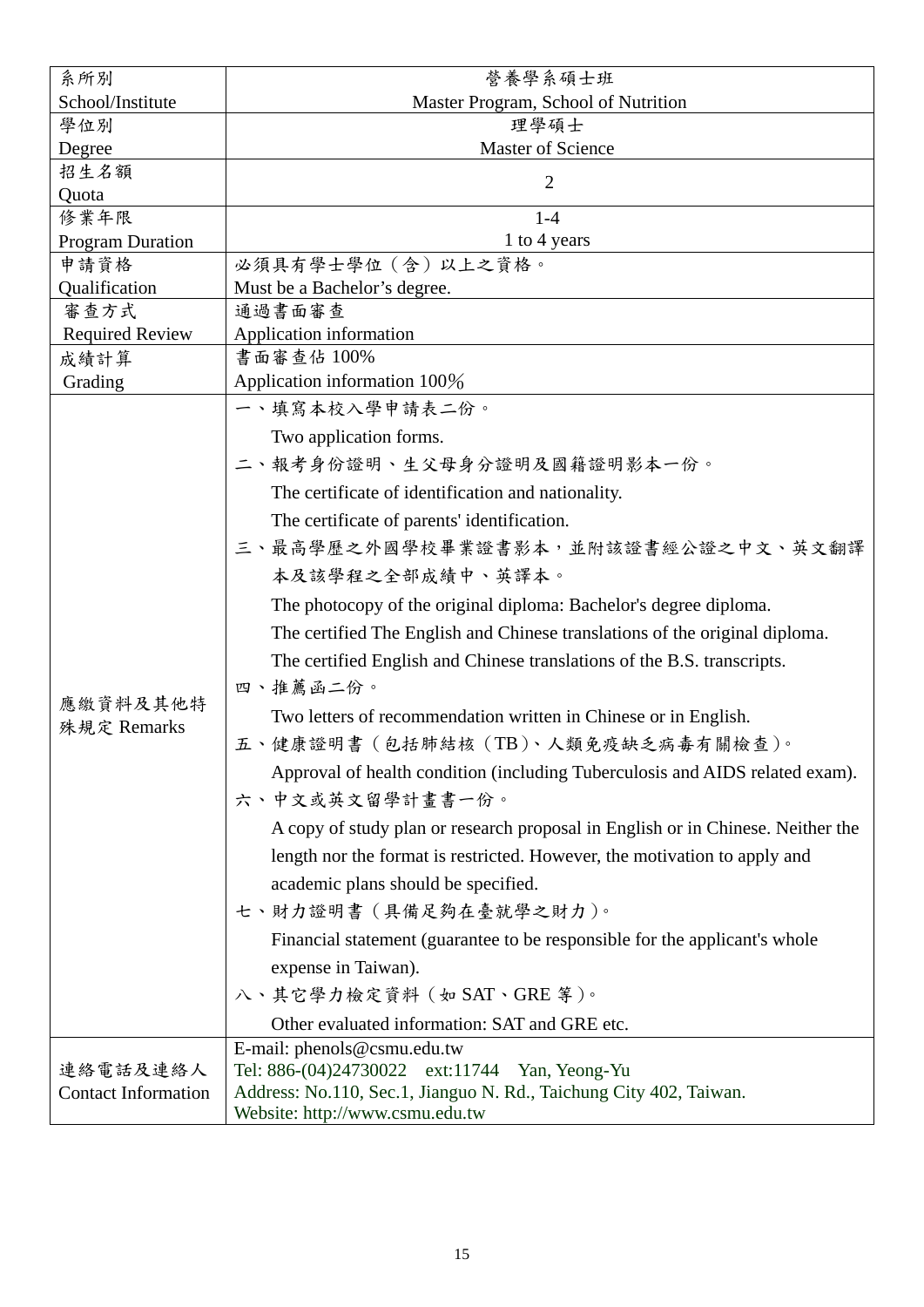| 系所別                        | 營養學系碩士班                                                                         |  |  |  |  |  |  |
|----------------------------|---------------------------------------------------------------------------------|--|--|--|--|--|--|
| School/Institute           | Master Program, School of Nutrition                                             |  |  |  |  |  |  |
| 學位別                        | 理學碩士                                                                            |  |  |  |  |  |  |
| Degree                     | Master of Science                                                               |  |  |  |  |  |  |
| 招生名額                       | $\overline{2}$                                                                  |  |  |  |  |  |  |
| Quota                      |                                                                                 |  |  |  |  |  |  |
| 修業年限                       | $1-4$                                                                           |  |  |  |  |  |  |
| <b>Program Duration</b>    | 1 to 4 years                                                                    |  |  |  |  |  |  |
| 申請資格                       | 必須具有學士學位 (含) 以上之資格。                                                             |  |  |  |  |  |  |
| Qualification              | Must be a Bachelor's degree.                                                    |  |  |  |  |  |  |
| 審查方式                       | 通過書面審查                                                                          |  |  |  |  |  |  |
| <b>Required Review</b>     | Application information<br>書面審查佔 100%                                           |  |  |  |  |  |  |
| 成績計算<br>Grading            | Application information 100%                                                    |  |  |  |  |  |  |
|                            |                                                                                 |  |  |  |  |  |  |
|                            | 一、填寫本校入學申請表二份。                                                                  |  |  |  |  |  |  |
|                            | Two application forms.                                                          |  |  |  |  |  |  |
|                            | 二、報考身份證明、生父母身分證明及國籍證明影本一份。                                                      |  |  |  |  |  |  |
|                            | The certificate of identification and nationality.                              |  |  |  |  |  |  |
|                            | The certificate of parents' identification.                                     |  |  |  |  |  |  |
|                            | 三、最高學歷之外國學校畢業證書影本,並附該證書經公證之中文、英文翻譯                                              |  |  |  |  |  |  |
|                            | 本及該學程之全部成績中、英譯本。                                                                |  |  |  |  |  |  |
|                            |                                                                                 |  |  |  |  |  |  |
|                            | The photocopy of the original diploma: Bachelor's degree diploma.               |  |  |  |  |  |  |
|                            | The certified The English and Chinese translations of the original diploma.     |  |  |  |  |  |  |
|                            | The certified English and Chinese translations of the B.S. transcripts.         |  |  |  |  |  |  |
|                            | 四、推薦函二份。                                                                        |  |  |  |  |  |  |
| 應繳資料及其他特                   | Two letters of recommendation written in Chinese or in English.                 |  |  |  |  |  |  |
| 殊規定 Remarks                | 五、健康證明書 (包括肺結核 (TB)、人類免疫缺乏病毒有關檢查)。                                              |  |  |  |  |  |  |
|                            | Approval of health condition (including Tuberculosis and AIDS related exam).    |  |  |  |  |  |  |
|                            | 六、中文或英文留學計畫書一份。                                                                 |  |  |  |  |  |  |
|                            |                                                                                 |  |  |  |  |  |  |
|                            | A copy of study plan or research proposal in English or in Chinese. Neither the |  |  |  |  |  |  |
|                            | length nor the format is restricted. However, the motivation to apply and       |  |  |  |  |  |  |
|                            | academic plans should be specified.                                             |  |  |  |  |  |  |
|                            | 七、財力證明書(具備足夠在臺就學之財力)。                                                           |  |  |  |  |  |  |
|                            | Financial statement (guarantee to be responsible for the applicant's whole      |  |  |  |  |  |  |
|                            | expense in Taiwan).                                                             |  |  |  |  |  |  |
|                            | 八、其它學力檢定資料 (如 SAT、GRE 等)。                                                       |  |  |  |  |  |  |
|                            | Other evaluated information: SAT and GRE etc.                                   |  |  |  |  |  |  |
|                            |                                                                                 |  |  |  |  |  |  |
| 連絡電話及連絡人                   | E-mail: phenols@csmu.edu.tw<br>Tel: 886-(04)24730022 ext:11744 Yan, Yeong-Yu    |  |  |  |  |  |  |
| <b>Contact Information</b> | Address: No.110, Sec.1, Jianguo N. Rd., Taichung City 402, Taiwan.              |  |  |  |  |  |  |
|                            | Website: http://www.csmu.edu.tw                                                 |  |  |  |  |  |  |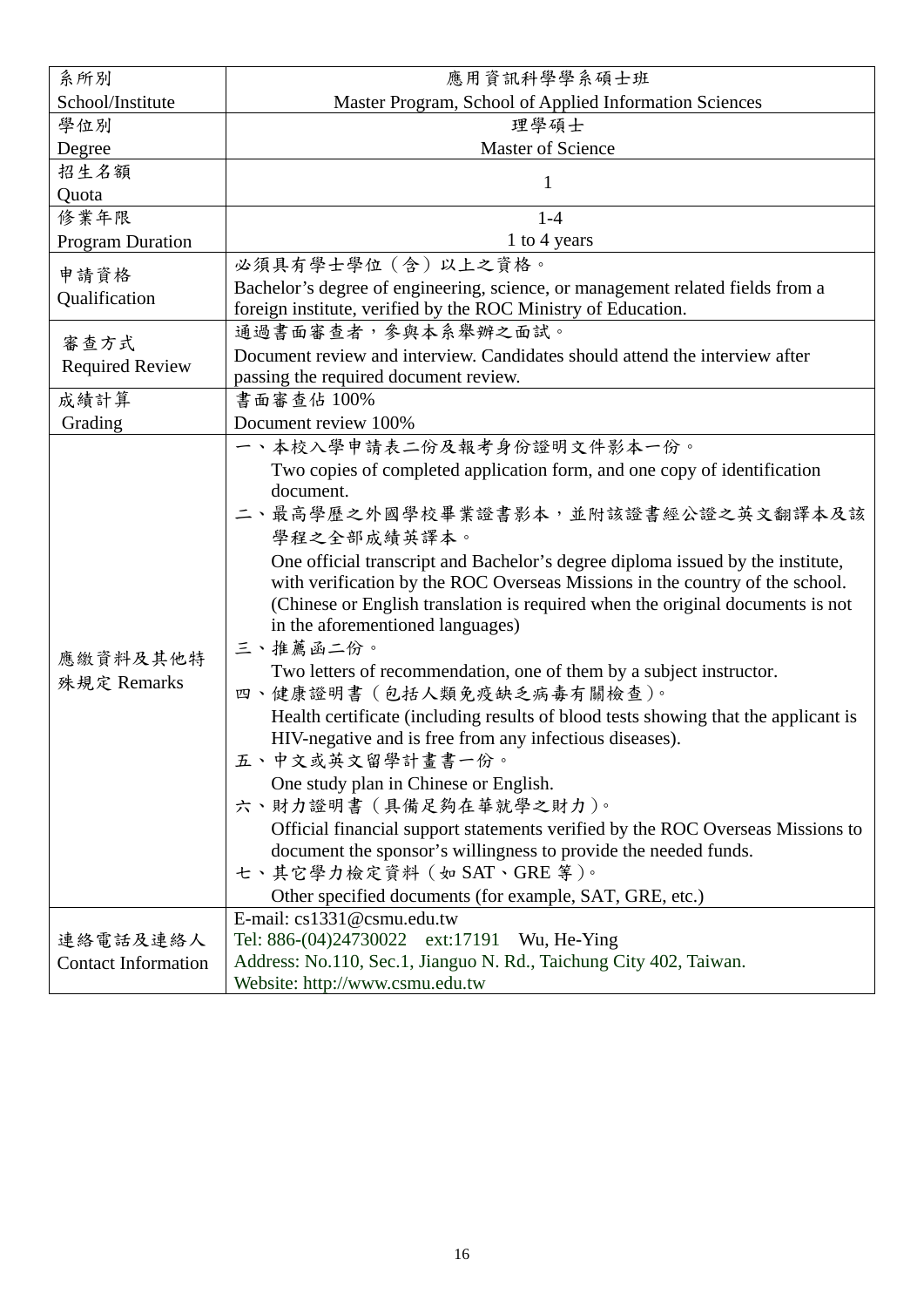| 系所別                        | 應用資訊科學學系碩士班                                                                        |  |  |  |  |  |
|----------------------------|------------------------------------------------------------------------------------|--|--|--|--|--|
| School/Institute           | Master Program, School of Applied Information Sciences                             |  |  |  |  |  |
| 學位別                        | 理學碩士                                                                               |  |  |  |  |  |
| Degree                     | Master of Science                                                                  |  |  |  |  |  |
| 招生名額                       |                                                                                    |  |  |  |  |  |
| Quota                      | 1                                                                                  |  |  |  |  |  |
| 修業年限                       | $1-4$                                                                              |  |  |  |  |  |
| <b>Program Duration</b>    | 1 to 4 years                                                                       |  |  |  |  |  |
|                            | 必須具有學士學位 (含) 以上之資格。                                                                |  |  |  |  |  |
| 申請資格                       | Bachelor's degree of engineering, science, or management related fields from a     |  |  |  |  |  |
| Qualification              | foreign institute, verified by the ROC Ministry of Education.                      |  |  |  |  |  |
|                            | 通過書面審查者,參與本系舉辦之面試。                                                                 |  |  |  |  |  |
| 審查方式                       | Document review and interview. Candidates should attend the interview after        |  |  |  |  |  |
| <b>Required Review</b>     | passing the required document review.                                              |  |  |  |  |  |
| 成績計算                       | 書面審查佔 100%                                                                         |  |  |  |  |  |
| Grading                    | Document review 100%                                                               |  |  |  |  |  |
|                            | 一、本校入學申請表二份及報考身份證明文件影本一份。                                                          |  |  |  |  |  |
|                            | Two copies of completed application form, and one copy of identification           |  |  |  |  |  |
|                            | document.                                                                          |  |  |  |  |  |
|                            | 二、最高學歷之外國學校畢業證書影本,並附該證書經公證之英文翻譯本及該                                                 |  |  |  |  |  |
|                            | 學程之全部成績英譯本。                                                                        |  |  |  |  |  |
|                            | One official transcript and Bachelor's degree diploma issued by the institute,     |  |  |  |  |  |
|                            | with verification by the ROC Overseas Missions in the country of the school.       |  |  |  |  |  |
|                            | (Chinese or English translation is required when the original documents is not     |  |  |  |  |  |
|                            | in the aforementioned languages)                                                   |  |  |  |  |  |
| 應繳資料及其他特                   | 三、推薦函二份。                                                                           |  |  |  |  |  |
|                            | Two letters of recommendation, one of them by a subject instructor.                |  |  |  |  |  |
| 殊規定 Remarks                | 四、健康證明書 (包括人類免疫缺乏病毒有關檢查)。                                                          |  |  |  |  |  |
|                            | Health certificate (including results of blood tests showing that the applicant is |  |  |  |  |  |
|                            | HIV-negative and is free from any infectious diseases).                            |  |  |  |  |  |
|                            | 五、中文或英文留學計畫書一份。                                                                    |  |  |  |  |  |
|                            | One study plan in Chinese or English.                                              |  |  |  |  |  |
|                            | 六、財力證明書 (具備足夠在華就學之財力)。                                                             |  |  |  |  |  |
|                            | Official financial support statements verified by the ROC Overseas Missions to     |  |  |  |  |  |
|                            | document the sponsor's willingness to provide the needed funds.                    |  |  |  |  |  |
|                            | 七、其它學力檢定資料 (如 SAT、GRE 等)。                                                          |  |  |  |  |  |
|                            | Other specified documents (for example, SAT, GRE, etc.)                            |  |  |  |  |  |
|                            | E-mail: cs1331@csmu.edu.tw                                                         |  |  |  |  |  |
| 連絡電話及連絡人                   | Tel: 886-(04)24730022 ext:17191 Wu, He-Ying                                        |  |  |  |  |  |
| <b>Contact Information</b> | Address: No.110, Sec.1, Jianguo N. Rd., Taichung City 402, Taiwan.                 |  |  |  |  |  |
|                            | Website: http://www.csmu.edu.tw                                                    |  |  |  |  |  |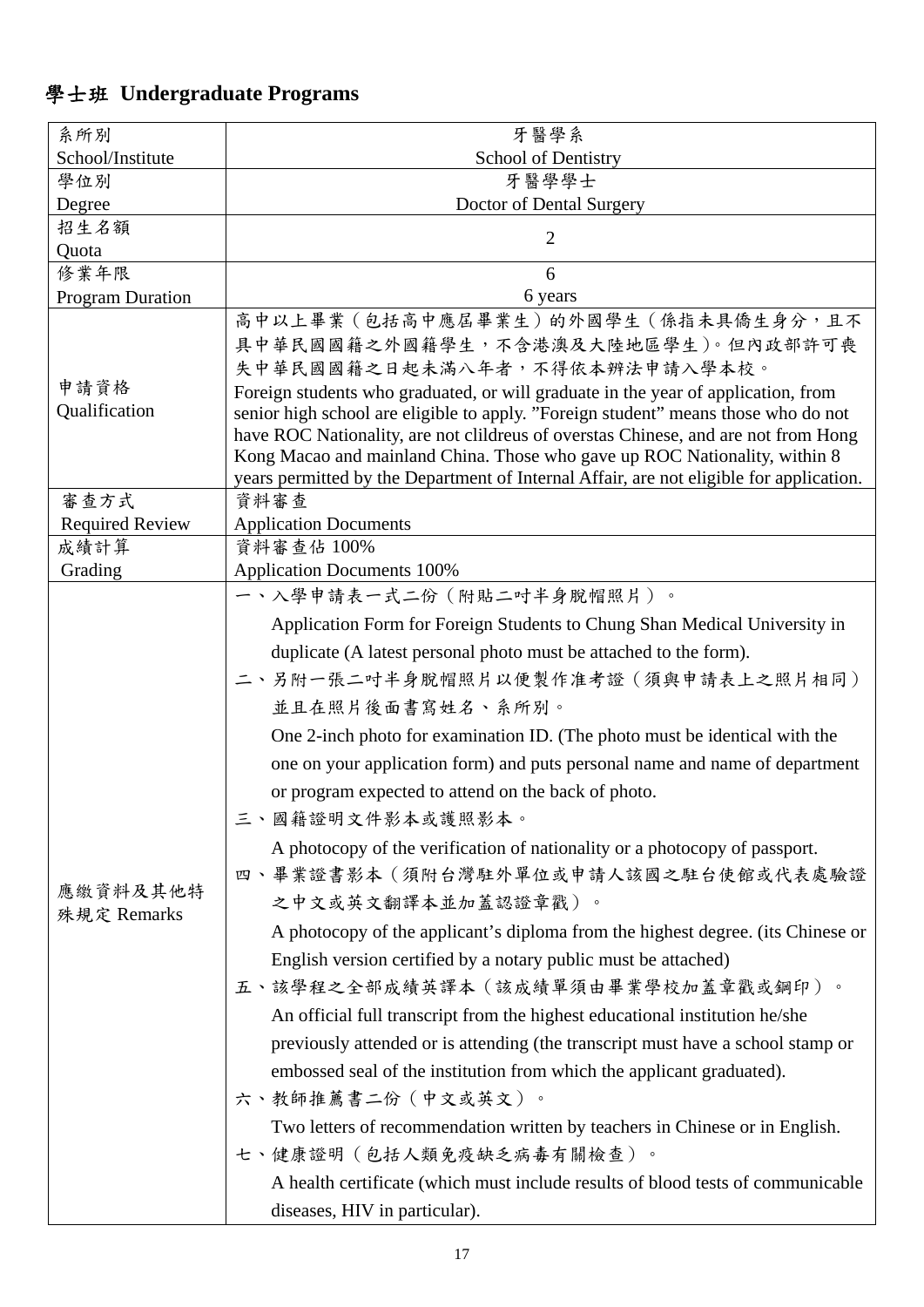#### 學士班 **Undergraduate Programs**

| 系所別                     | 牙醫學系                                                                                                                                                                                                                                                                                                                                                                                                                                                                                                                                                                                                                                                                                                                                                                                                                                                                                                                                                                                                                                                                                                                                                                                                                                                                                                            |  |  |  |  |
|-------------------------|-----------------------------------------------------------------------------------------------------------------------------------------------------------------------------------------------------------------------------------------------------------------------------------------------------------------------------------------------------------------------------------------------------------------------------------------------------------------------------------------------------------------------------------------------------------------------------------------------------------------------------------------------------------------------------------------------------------------------------------------------------------------------------------------------------------------------------------------------------------------------------------------------------------------------------------------------------------------------------------------------------------------------------------------------------------------------------------------------------------------------------------------------------------------------------------------------------------------------------------------------------------------------------------------------------------------|--|--|--|--|
| School/Institute        | <b>School of Dentistry</b>                                                                                                                                                                                                                                                                                                                                                                                                                                                                                                                                                                                                                                                                                                                                                                                                                                                                                                                                                                                                                                                                                                                                                                                                                                                                                      |  |  |  |  |
| 學位別                     | 牙醫學學士                                                                                                                                                                                                                                                                                                                                                                                                                                                                                                                                                                                                                                                                                                                                                                                                                                                                                                                                                                                                                                                                                                                                                                                                                                                                                                           |  |  |  |  |
| Degree                  | Doctor of Dental Surgery                                                                                                                                                                                                                                                                                                                                                                                                                                                                                                                                                                                                                                                                                                                                                                                                                                                                                                                                                                                                                                                                                                                                                                                                                                                                                        |  |  |  |  |
| 招生名額<br>Quota           | $\overline{2}$                                                                                                                                                                                                                                                                                                                                                                                                                                                                                                                                                                                                                                                                                                                                                                                                                                                                                                                                                                                                                                                                                                                                                                                                                                                                                                  |  |  |  |  |
| 修業年限                    | 6                                                                                                                                                                                                                                                                                                                                                                                                                                                                                                                                                                                                                                                                                                                                                                                                                                                                                                                                                                                                                                                                                                                                                                                                                                                                                                               |  |  |  |  |
| <b>Program Duration</b> | 6 years                                                                                                                                                                                                                                                                                                                                                                                                                                                                                                                                                                                                                                                                                                                                                                                                                                                                                                                                                                                                                                                                                                                                                                                                                                                                                                         |  |  |  |  |
| 申請資格<br>Qualification   | 高中以上畢業 (包括高中應屆畢業生) 的外國學生 (係指未具僑生身分,且不<br>具中華民國國籍之外國籍學生,不含港澳及大陸地區學生)。但內政部許可喪<br>失中華民國國籍之日起未滿八年者,不得依本辨法申請入學本校。<br>Foreign students who graduated, or will graduate in the year of application, from<br>senior high school are eligible to apply. "Foreign student" means those who do not<br>have ROC Nationality, are not clildreus of overstas Chinese, and are not from Hong<br>Kong Macao and mainland China. Those who gave up ROC Nationality, within 8<br>years permitted by the Department of Internal Affair, are not eligible for application.                                                                                                                                                                                                                                                                                                                                                                                                                                                                                                                                                                                                                                                                                                                                                          |  |  |  |  |
| 審查方式                    | 資料審查                                                                                                                                                                                                                                                                                                                                                                                                                                                                                                                                                                                                                                                                                                                                                                                                                                                                                                                                                                                                                                                                                                                                                                                                                                                                                                            |  |  |  |  |
| <b>Required Review</b>  | <b>Application Documents</b>                                                                                                                                                                                                                                                                                                                                                                                                                                                                                                                                                                                                                                                                                                                                                                                                                                                                                                                                                                                                                                                                                                                                                                                                                                                                                    |  |  |  |  |
| 成績計算<br>Grading         | 資料審查佔 100%<br><b>Application Documents 100%</b>                                                                                                                                                                                                                                                                                                                                                                                                                                                                                                                                                                                                                                                                                                                                                                                                                                                                                                                                                                                                                                                                                                                                                                                                                                                                 |  |  |  |  |
| 應繳資料及其他特<br>殊規定 Remarks | 一、入學申請表一式二份(附貼二吋半身脫帽照片)。<br>Application Form for Foreign Students to Chung Shan Medical University in<br>duplicate (A latest personal photo must be attached to the form).<br>二、另附一張二吋半身脫帽照片以便製作准考證(須與申請表上之照片相同)<br>並且在照片後面書寫姓名、系所別。<br>One 2-inch photo for examination ID. (The photo must be identical with the<br>one on your application form) and puts personal name and name of department<br>or program expected to attend on the back of photo.<br>三、國籍證明文件影本或護照影本。<br>A photocopy of the verification of nationality or a photocopy of passport.<br>四、畢業證書影本(須附台灣駐外單位或申請人該國之駐台使館或代表處驗證<br>之中文或英文翻譯本並加蓋認證章戳)。<br>A photocopy of the applicant's diploma from the highest degree. (its Chinese or<br>English version certified by a notary public must be attached)<br>五、該學程之全部成績英譯本(該成績單須由畢業學校加蓋章戳或鋼印)。<br>An official full transcript from the highest educational institution he/she<br>previously attended or is attending (the transcript must have a school stamp or<br>embossed seal of the institution from which the applicant graduated).<br>六、教師推薦書二份 (中文或英文)。<br>Two letters of recommendation written by teachers in Chinese or in English.<br>七、健康證明(包括人類免疫缺乏病毒有關檢查)。<br>A health certificate (which must include results of blood tests of communicable<br>diseases, HIV in particular). |  |  |  |  |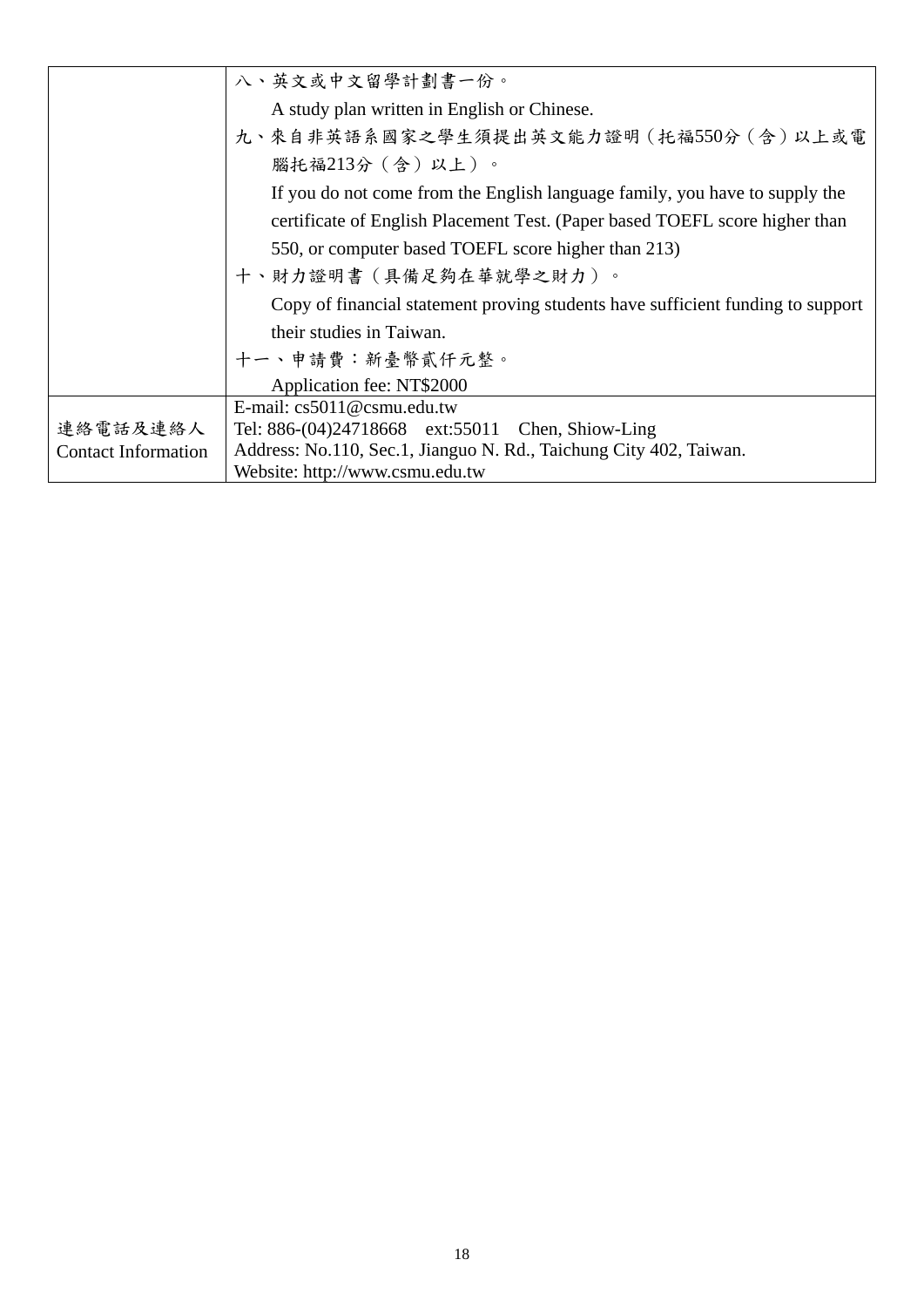|                            | 八、英文或中文留學計劃書一份。                                                                 |  |  |  |  |  |
|----------------------------|---------------------------------------------------------------------------------|--|--|--|--|--|
|                            | A study plan written in English or Chinese.                                     |  |  |  |  |  |
|                            | 九、來自非英語系國家之學生須提出英文能力證明 (托福550分 (含) 以上或電                                         |  |  |  |  |  |
|                            | 腦托福213分(含)以上)。                                                                  |  |  |  |  |  |
|                            | If you do not come from the English language family, you have to supply the     |  |  |  |  |  |
|                            | certificate of English Placement Test. (Paper based TOEFL score higher than     |  |  |  |  |  |
|                            | 550, or computer based TOEFL score higher than 213)                             |  |  |  |  |  |
|                            | 十、財力證明書(具備足夠在華就學之財力)。                                                           |  |  |  |  |  |
|                            | Copy of financial statement proving students have sufficient funding to support |  |  |  |  |  |
|                            | their studies in Taiwan.                                                        |  |  |  |  |  |
|                            | 十一、申請費:新臺幣貳仟元整。                                                                 |  |  |  |  |  |
|                            | Application fee: NT\$2000                                                       |  |  |  |  |  |
|                            | E-mail: $cs5011@csmu.edu.tw$                                                    |  |  |  |  |  |
| 連絡電話及連絡人                   | Tel: 886-(04)24718668 ext:55011 Chen, Shiow-Ling                                |  |  |  |  |  |
| <b>Contact Information</b> | Address: No.110, Sec.1, Jianguo N. Rd., Taichung City 402, Taiwan.              |  |  |  |  |  |
|                            | Website: http://www.csmu.edu.tw                                                 |  |  |  |  |  |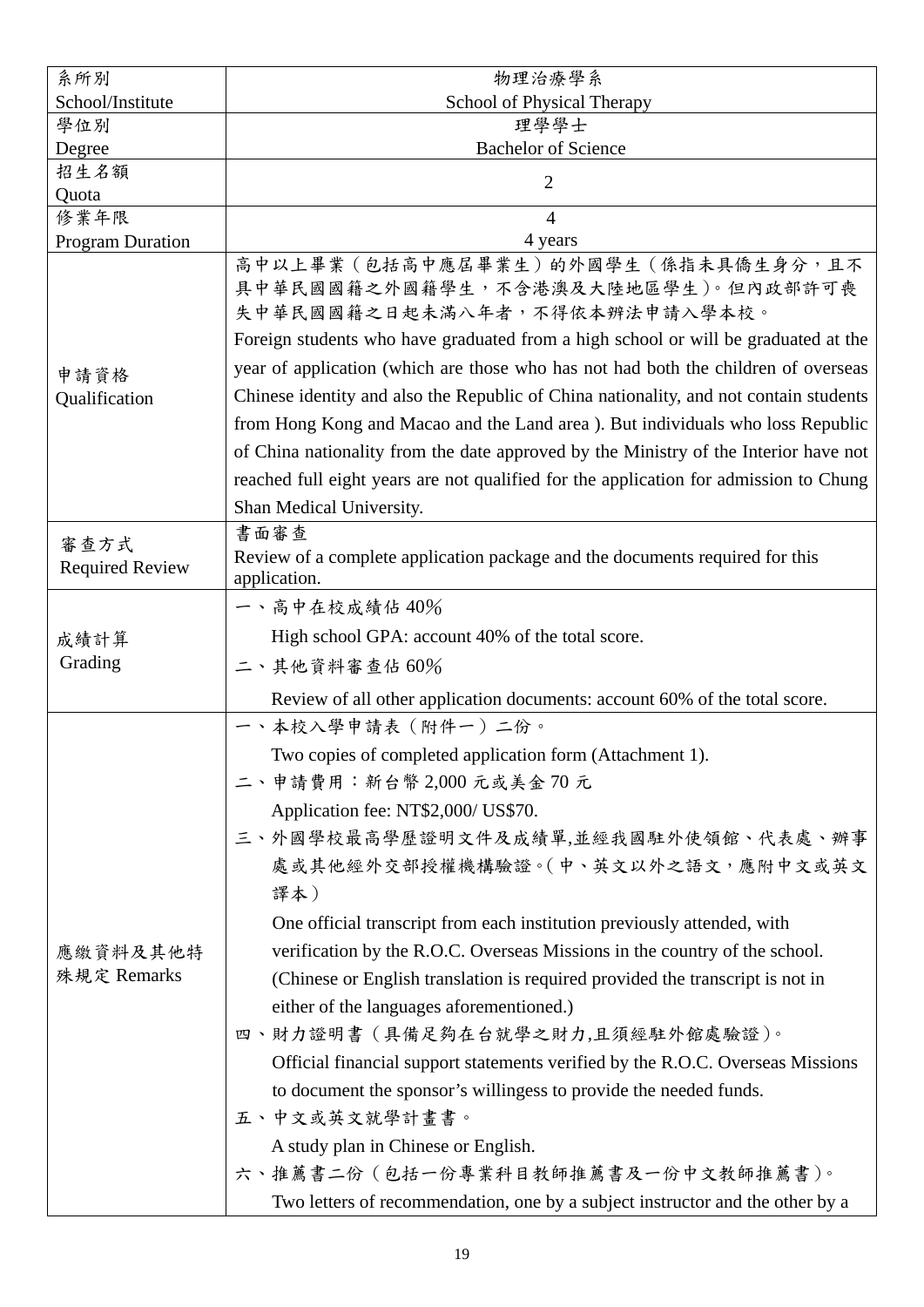| 系所別                            | 物理治療學系                                                                                                                                                                                                                                                                                                                                                                                                                                                                                                                                                                                                                                                                                                                                                                                                                                                                                                |  |  |  |  |  |
|--------------------------------|-------------------------------------------------------------------------------------------------------------------------------------------------------------------------------------------------------------------------------------------------------------------------------------------------------------------------------------------------------------------------------------------------------------------------------------------------------------------------------------------------------------------------------------------------------------------------------------------------------------------------------------------------------------------------------------------------------------------------------------------------------------------------------------------------------------------------------------------------------------------------------------------------------|--|--|--|--|--|
| School/Institute               | School of Physical Therapy                                                                                                                                                                                                                                                                                                                                                                                                                                                                                                                                                                                                                                                                                                                                                                                                                                                                            |  |  |  |  |  |
| 學位別                            | 理學學士                                                                                                                                                                                                                                                                                                                                                                                                                                                                                                                                                                                                                                                                                                                                                                                                                                                                                                  |  |  |  |  |  |
| Degree                         | <b>Bachelor of Science</b>                                                                                                                                                                                                                                                                                                                                                                                                                                                                                                                                                                                                                                                                                                                                                                                                                                                                            |  |  |  |  |  |
| 招生名額<br>Quota                  | 2                                                                                                                                                                                                                                                                                                                                                                                                                                                                                                                                                                                                                                                                                                                                                                                                                                                                                                     |  |  |  |  |  |
| 修業年限                           | $\overline{4}$                                                                                                                                                                                                                                                                                                                                                                                                                                                                                                                                                                                                                                                                                                                                                                                                                                                                                        |  |  |  |  |  |
| <b>Program Duration</b>        | 4 years                                                                                                                                                                                                                                                                                                                                                                                                                                                                                                                                                                                                                                                                                                                                                                                                                                                                                               |  |  |  |  |  |
| 申請資格<br>Qualification          | 高中以上畢業 (包括高中應屆畢業生) 的外國學生 (係指未具僑生身分,且不<br>具中華民國國籍之外國籍學生,不含港澳及大陸地區學生)。但內政部許可喪<br>失中華民國國籍之日起未滿八年者,不得依本辨法申請入學本校。<br>Foreign students who have graduated from a high school or will be graduated at the<br>year of application (which are those who has not had both the children of overseas<br>Chinese identity and also the Republic of China nationality, and not contain students<br>from Hong Kong and Macao and the Land area). But individuals who loss Republic<br>of China nationality from the date approved by the Ministry of the Interior have not<br>reached full eight years are not qualified for the application for admission to Chung<br>Shan Medical University.                                                                                                                                                                                                                      |  |  |  |  |  |
|                                | 書面審查                                                                                                                                                                                                                                                                                                                                                                                                                                                                                                                                                                                                                                                                                                                                                                                                                                                                                                  |  |  |  |  |  |
| 審查方式<br><b>Required Review</b> | Review of a complete application package and the documents required for this<br>application.                                                                                                                                                                                                                                                                                                                                                                                                                                                                                                                                                                                                                                                                                                                                                                                                          |  |  |  |  |  |
| 成績計算<br>Grading                | 一、高中在校成績佔 40%<br>High school GPA: account 40% of the total score.<br>二、其他資料審查佔60%                                                                                                                                                                                                                                                                                                                                                                                                                                                                                                                                                                                                                                                                                                                                                                                                                     |  |  |  |  |  |
|                                | Review of all other application documents: account 60% of the total score.                                                                                                                                                                                                                                                                                                                                                                                                                                                                                                                                                                                                                                                                                                                                                                                                                            |  |  |  |  |  |
| 應繳資料及其他特<br>殊規定 Remarks        | 一、本校入學申請表(附件一)二份。<br>Two copies of completed application form (Attachment 1).<br>二、申請費用:新台幣 2,000 元或美金 70 元<br>Application fee: NT\$2,000/ US\$70.<br>三、外國學校最高學歷證明文件及成績單,並經我國駐外使領館、代表處、辦事<br>處或其他經外交部授權機構驗證。(中、英文以外之語文,應附中文或英文<br>譯本)<br>One official transcript from each institution previously attended, with<br>verification by the R.O.C. Overseas Missions in the country of the school.<br>(Chinese or English translation is required provided the transcript is not in<br>either of the languages aforementioned.)<br>四、財力證明書 (具備足夠在台就學之財力,且須經駐外館處驗證)。<br>Official financial support statements verified by the R.O.C. Overseas Missions<br>to document the sponsor's willingess to provide the needed funds.<br>五、中文或英文就學計畫書。<br>A study plan in Chinese or English.<br>六、推薦書二份 (包括一份專業科目教師推薦書及一份中文教師推薦書)。<br>Two letters of recommendation, one by a subject instructor and the other by a |  |  |  |  |  |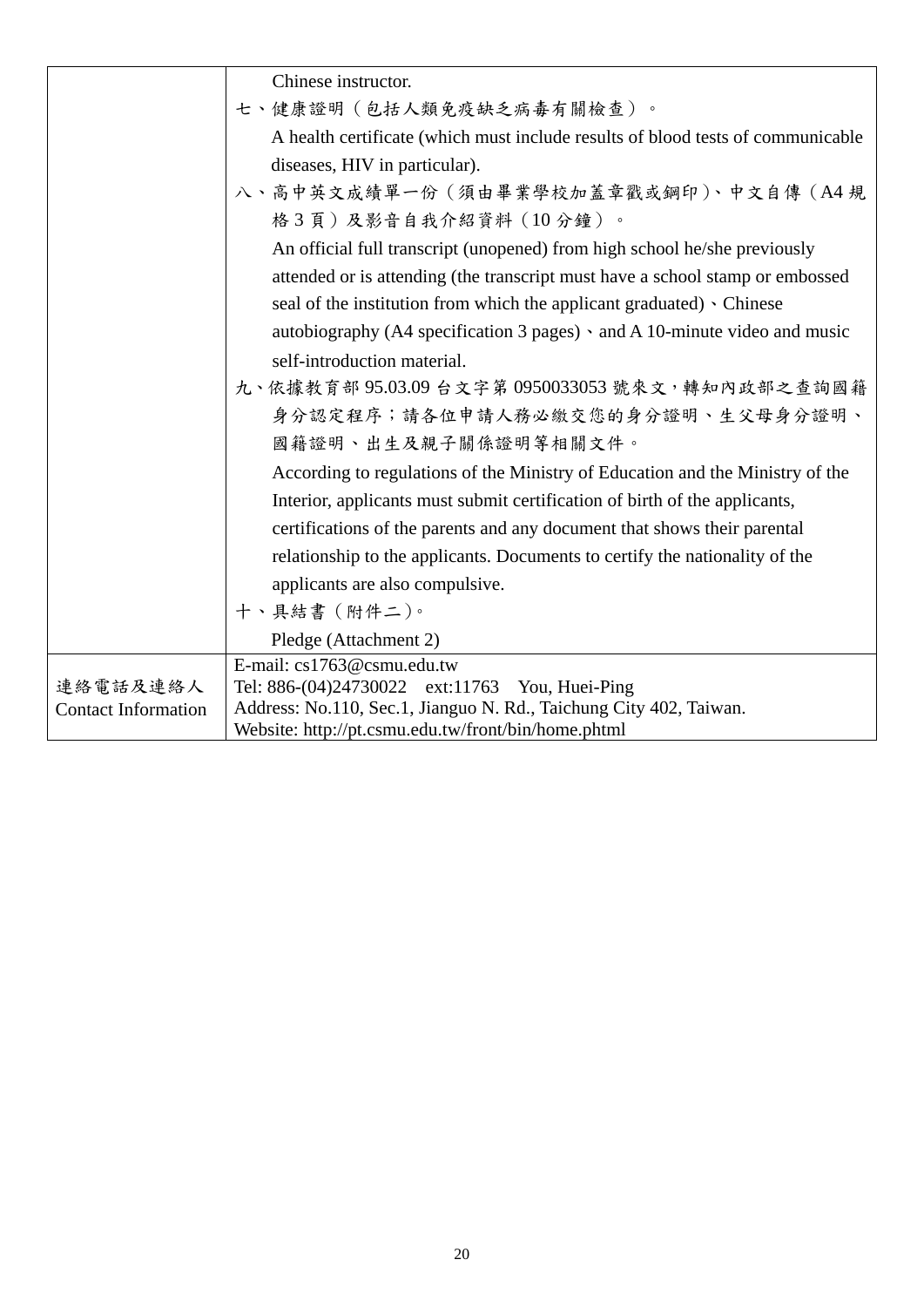|                            | Chinese instructor.                                                                                                       |
|----------------------------|---------------------------------------------------------------------------------------------------------------------------|
|                            | 七、健康證明(包括人類免疫缺乏病毒有關檢查)。                                                                                                   |
|                            | A health certificate (which must include results of blood tests of communicable                                           |
|                            | diseases, HIV in particular).                                                                                             |
|                            | 八、高中英文成績單一份 (須由畢業學校加蓋章戳或鋼印)、中文自傳 (A4規                                                                                     |
|                            | 格3頁)及影音自我介紹資料(10分鐘)。                                                                                                      |
|                            | An official full transcript (unopened) from high school he/she previously                                                 |
|                            | attended or is attending (the transcript must have a school stamp or embossed                                             |
|                            | seal of the institution from which the applicant graduated) • Chinese                                                     |
|                            | autobiography (A4 specification 3 pages) · and A 10-minute video and music                                                |
|                            | self-introduction material.                                                                                               |
|                            | 九、依據教育部 95.03.09 台文字第 0950033053 號來文,轉知內政部之查詢國籍                                                                           |
|                            | 身分認定程序;請各位申請人務必繳交您的身分證明、生父母身分證明、                                                                                          |
|                            | 國籍證明、出生及親子關係證明等相關文件。                                                                                                      |
|                            | According to regulations of the Ministry of Education and the Ministry of the                                             |
|                            | Interior, applicants must submit certification of birth of the applicants,                                                |
|                            | certifications of the parents and any document that shows their parental                                                  |
|                            | relationship to the applicants. Documents to certify the nationality of the                                               |
|                            | applicants are also compulsive.                                                                                           |
|                            | 十、具結書 (附件二)。                                                                                                              |
|                            | Pledge (Attachment 2)                                                                                                     |
|                            | E-mail: cs1763@csmu.edu.tw                                                                                                |
| 連絡電話及連絡人                   | Tel: 886-(04)24730022 ext:11763 You, Huei-Ping                                                                            |
| <b>Contact Information</b> | Address: No.110, Sec.1, Jianguo N. Rd., Taichung City 402, Taiwan.<br>Website: http://pt.csmu.edu.tw/front/bin/home.phtml |
|                            |                                                                                                                           |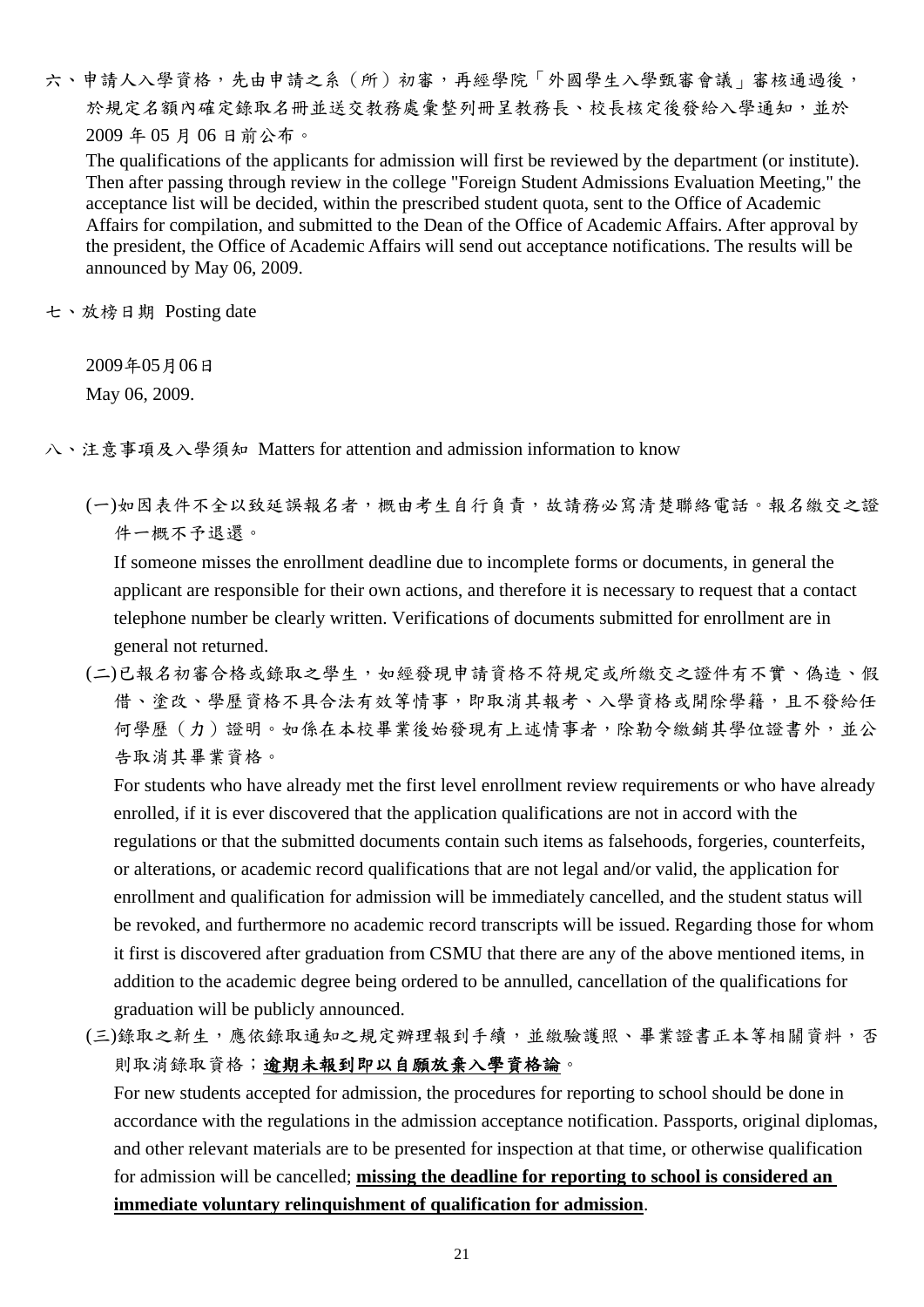六、申請人入學資格,先由申請之系(所)初審,再經學院「外國學生入學甄審會議」審核通過後, 於規定名額內確定錄取名冊並送交教務處彙整列冊呈教務長、校長核定後發給入學通知,並於 2009 年 05 月 06 日前公布。

The qualifications of the applicants for admission will first be reviewed by the department (or institute). Then after passing through review in the college "Foreign Student Admissions Evaluation Meeting," the acceptance list will be decided, within the prescribed student quota, sent to the Office of Academic Affairs for compilation, and submitted to the Dean of the Office of Academic Affairs. After approval by the president, the Office of Academic Affairs will send out acceptance notifications. The results will be announced by May 06, 2009.

七、放榜日期 Posting date

2009年05月06日

May 06, 2009.

八、注意事項及入學須知 Matters for attention and admission information to know

(一)如因表件不全以致延誤報名者,概由考生自行負責,故請務必寫清楚聯絡電話。報名繳交之證 件一概不予退還。

If someone misses the enrollment deadline due to incomplete forms or documents, in general the applicant are responsible for their own actions, and therefore it is necessary to request that a contact telephone number be clearly written. Verifications of documents submitted for enrollment are in general not returned.

(二)已報名初審合格或錄取之學生,如經發現申請資格不符規定或所繳交之證件有不實、偽造、假 借、塗改、學歷資格不具合法有效等情事,即取消其報考、入學資格或開除學籍,且不發給任 何學歷(力)證明。如係在本校畢業後始發現有上述情事者,除勒令繳銷其學位證書外,並公 告取消其畢業資格。

For students who have already met the first level enrollment review requirements or who have already enrolled, if it is ever discovered that the application qualifications are not in accord with the regulations or that the submitted documents contain such items as falsehoods, forgeries, counterfeits, or alterations, or academic record qualifications that are not legal and/or valid, the application for enrollment and qualification for admission will be immediately cancelled, and the student status will be revoked, and furthermore no academic record transcripts will be issued. Regarding those for whom it first is discovered after graduation from CSMU that there are any of the above mentioned items, in addition to the academic degree being ordered to be annulled, cancellation of the qualifications for graduation will be publicly announced.

(三)錄取之新生,應依錄取通知之規定辦理報到手續,並繳驗護照、畢業證書正本等相關資料,否 則取消錄取資格;逾期未報到即以自願放棄入學資格論。

For new students accepted for admission, the procedures for reporting to school should be done in accordance with the regulations in the admission acceptance notification. Passports, original diplomas, and other relevant materials are to be presented for inspection at that time, or otherwise qualification for admission will be cancelled; **missing the deadline for reporting to school is considered an immediate voluntary relinquishment of qualification for admission**.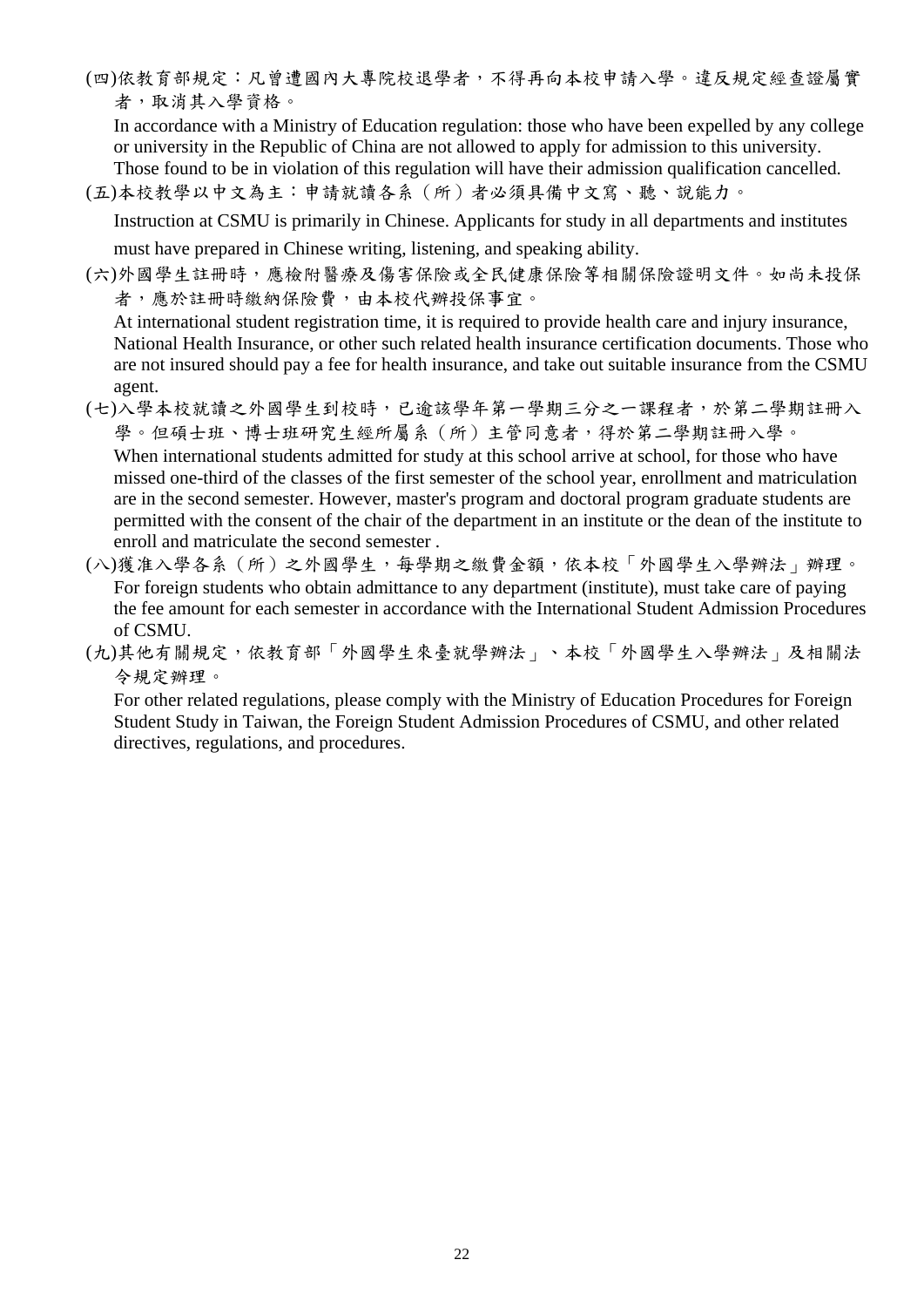(四)依教育部規定:凡曾遭國內大專院校退學者,不得再向本校申請入學。違反規定經查證屬實 者,取消其入學資格。

In accordance with a Ministry of Education regulation: those who have been expelled by any college or university in the Republic of China are not allowed to apply for admission to this university.

Those found to be in violation of this regulation will have their admission qualification cancelled.

(五)本校教學以中文為主:申請就讀各系(所)者必須具備中文寫、聽、說能力。

Instruction at CSMU is primarily in Chinese. Applicants for study in all departments and institutes

must have prepared in Chinese writing, listening, and speaking ability.

(六)外國學生註冊時,應檢附醫療及傷害保險或全民健康保險等相關保險證明文件。如尚未投保 者,應於註冊時繳納保險費,由本校代辦投保事宜。

At international student registration time, it is required to provide health care and injury insurance, National Health Insurance, or other such related health insurance certification documents. Those who are not insured should pay a fee for health insurance, and take out suitable insurance from the CSMU agent.

- (七)入學本校就讀之外國學生到校時,已逾該學年第一學期三分之一課程者,於第二學期註冊入 學。但碩士班、博士班研究生經所屬系(所)主管同意者,得於第二學期註冊入學。 When international students admitted for study at this school arrive at school, for those who have missed one-third of the classes of the first semester of the school year, enrollment and matriculation are in the second semester. However, master's program and doctoral program graduate students are permitted with the consent of the chair of the department in an institute or the dean of the institute to enroll and matriculate the second semester .
- (八)獲准入學各系(所)之外國學生,每學期之繳費金額,依本校「外國學生入學辦法」辦理。 For foreign students who obtain admittance to any department (institute), must take care of paying the fee amount for each semester in accordance with the International Student Admission Procedures of CSMU.
- (九)其他有關規定,依教育部「外國學生來臺就學辦法」、本校「外國學生入學辦法」及相關法 令規定辦理。

For other related regulations, please comply with the Ministry of Education Procedures for Foreign Student Study in Taiwan, the Foreign Student Admission Procedures of CSMU, and other related directives, regulations, and procedures.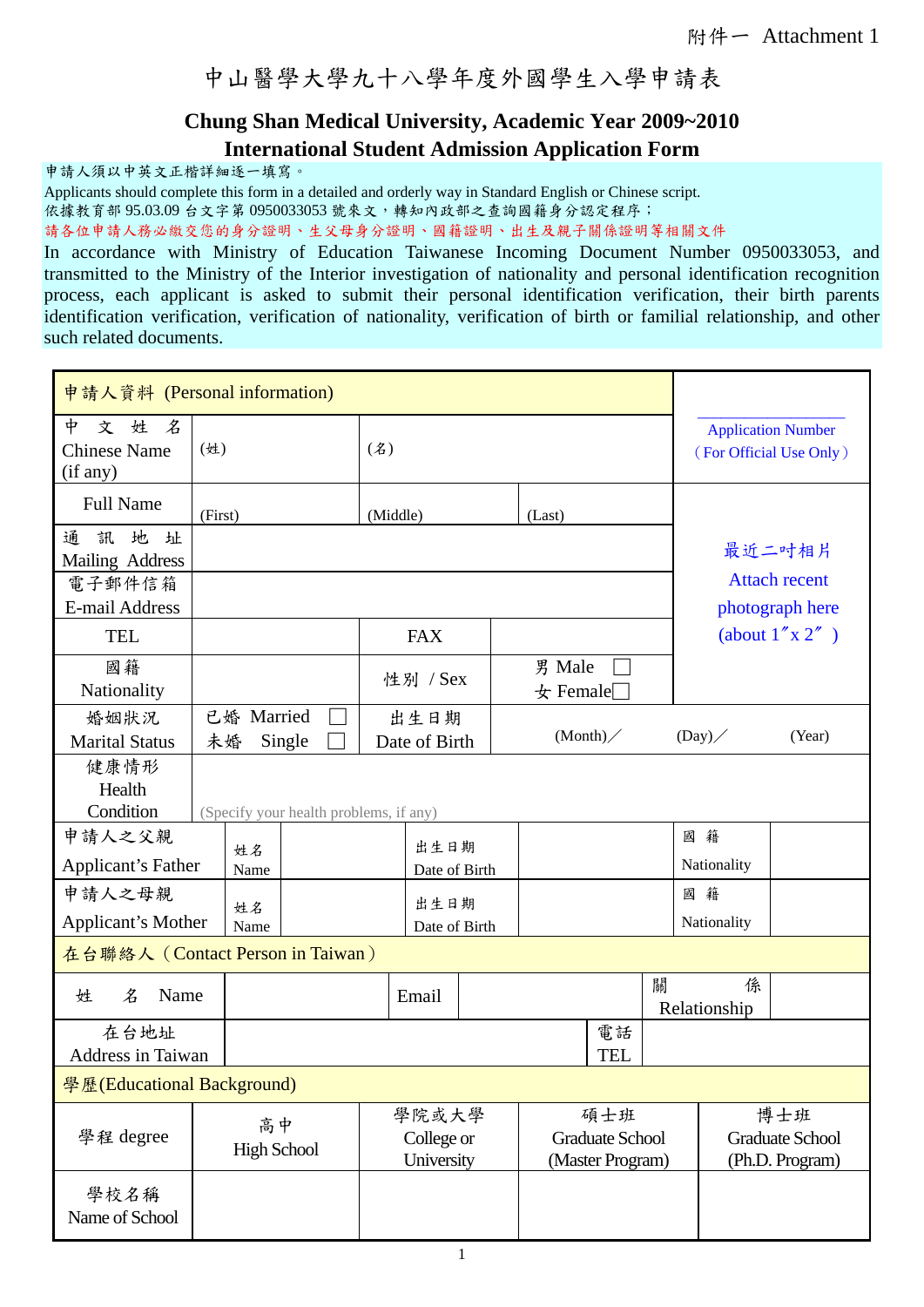中山醫學大學九十八學年度外國學生入學申請表

#### **Chung Shan Medical University, Academic Year 2009~2010 International Student Admission Application Form**

申請人須以中英文正楷詳細逐一填寫。

Applicants should complete this form in a detailed and orderly way in Standard English or Chinese script.

依據教育部 95.03.09 台文字第 0950033053 號來文,轉知內政部之查詢國籍身分認定程序;

請各位申請人務必繳交您的身分證明、生父母身分證明、國籍證明、出生及親子關係證明等相關文件

In accordance with Ministry of Education Taiwanese Incoming Document Number 0950033053, and transmitted to the Ministry of the Interior investigation of nationality and personal identification recognition process, each applicant is asked to submit their personal identification verification, their birth parents identification verification, verification of nationality, verification of birth or familial relationship, and other such related documents.

| 申請人資料 (Personal information)                                |                    |                                                                |                                        |          |                                   |  |                                                      |                                                   |                                                   |   |                   |                                                  |
|-------------------------------------------------------------|--------------------|----------------------------------------------------------------|----------------------------------------|----------|-----------------------------------|--|------------------------------------------------------|---------------------------------------------------|---------------------------------------------------|---|-------------------|--------------------------------------------------|
| 中<br>姓<br>名<br>文<br><b>Chinese Name</b><br>(if any)         | (姓)<br>(2)         |                                                                |                                        |          |                                   |  | <b>Application Number</b><br>(For Official Use Only) |                                                   |                                                   |   |                   |                                                  |
| <b>Full Name</b>                                            | (First)            |                                                                |                                        | (Middle) |                                   |  |                                                      | (Last)                                            |                                                   |   |                   |                                                  |
| 地址<br>訊<br>通<br>Mailing Address<br>電子郵件信箱<br>E-mail Address |                    |                                                                |                                        |          |                                   |  |                                                      |                                                   | 最近二吋相片<br><b>Attach recent</b><br>photograph here |   |                   |                                                  |
| <b>TEL</b>                                                  |                    |                                                                |                                        |          | <b>FAX</b>                        |  |                                                      |                                                   |                                                   |   |                   | $(\text{about } 1'' \times 2'')$                 |
| 國籍<br>Nationality                                           |                    |                                                                |                                        |          | 性別 / Sex                          |  |                                                      | 男 Male<br>$\pm$ Female                            |                                                   |   |                   |                                                  |
| 婚姻狀況<br><b>Marital Status</b>                               |                    | 已婚 Married<br>出生日期<br>(Month)<br>Single<br>未婚<br>Date of Birth |                                        |          |                                   |  | (Day)                                                | (Year)                                            |                                                   |   |                   |                                                  |
| 健康情形<br>Health<br>Condition                                 |                    |                                                                | (Specify your health problems, if any) |          |                                   |  |                                                      |                                                   |                                                   |   |                   |                                                  |
| 申請人之父親<br><b>Applicant's Father</b>                         |                    | 出生日期<br>姓名                                                     |                                        |          |                                   |  | 國籍<br>Nationality                                    |                                                   |                                                   |   |                   |                                                  |
| 申請人之母親<br>Applicant's Mother                                | Name<br>姓名<br>Name |                                                                | Date of Birth<br>出生日期<br>Date of Birth |          |                                   |  |                                                      |                                                   | 國籍<br>Nationality                                 |   |                   |                                                  |
| 在台聯絡人 (Contact Person in Taiwan)                            |                    |                                                                |                                        |          |                                   |  |                                                      |                                                   |                                                   |   |                   |                                                  |
| 名<br>Name<br>姓                                              |                    |                                                                |                                        |          | Email                             |  |                                                      |                                                   |                                                   | 關 | 係<br>Relationship |                                                  |
| 在台地址<br><b>Address in Taiwan</b>                            |                    |                                                                |                                        |          |                                   |  |                                                      |                                                   | 電話<br><b>TEL</b>                                  |   |                   |                                                  |
| 學歷(Educational Background)                                  |                    |                                                                |                                        |          |                                   |  |                                                      |                                                   |                                                   |   |                   |                                                  |
| 學程 degree                                                   |                    | 高中<br><b>High School</b>                                       |                                        |          | 學院或大學<br>College or<br>University |  |                                                      | 碩士班<br><b>Graduate School</b><br>(Master Program) |                                                   |   |                   | 博士班<br><b>Graduate School</b><br>(Ph.D. Program) |
| 學校名稱<br>Name of School                                      |                    |                                                                |                                        |          |                                   |  |                                                      |                                                   |                                                   |   |                   |                                                  |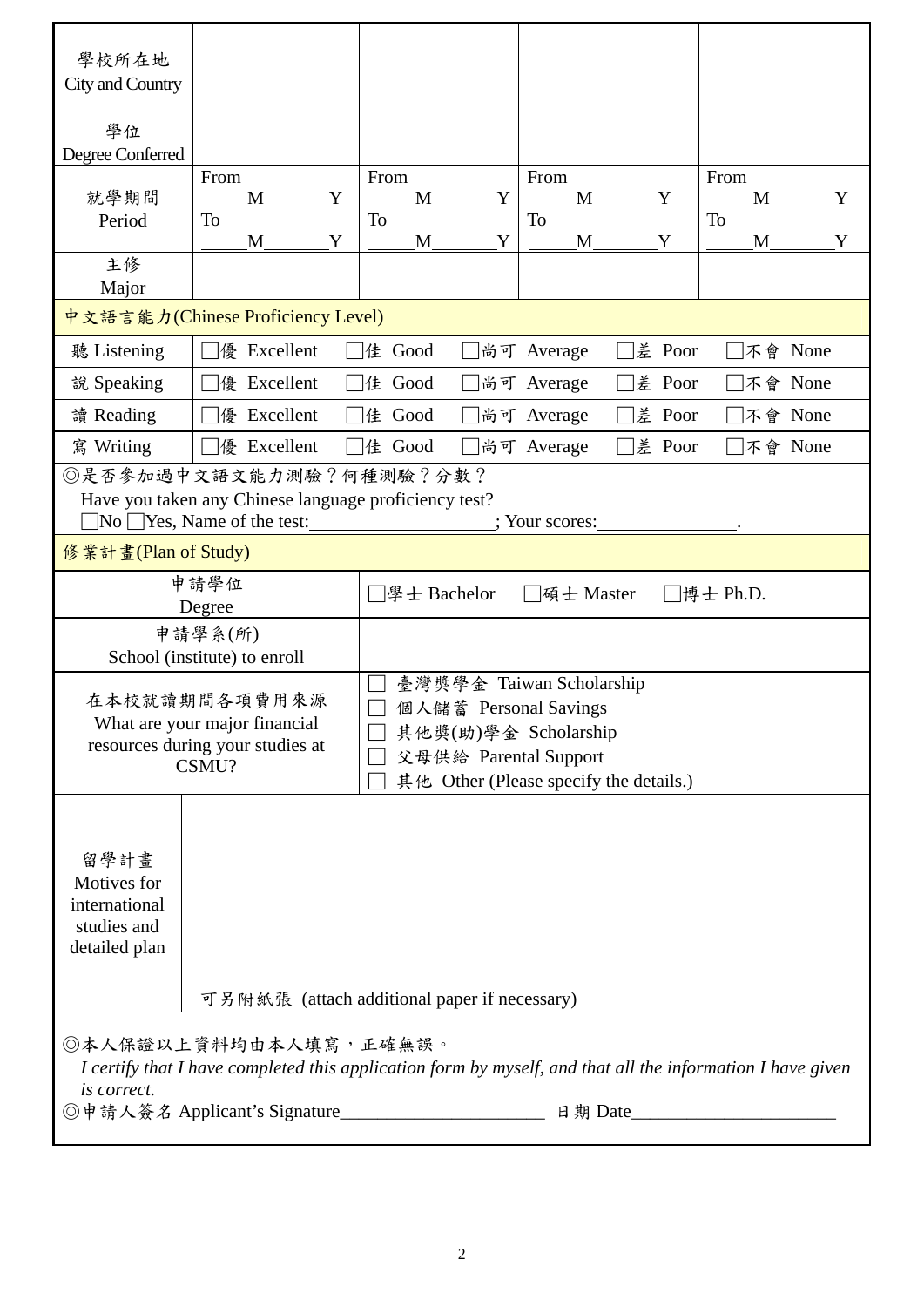| 學校所在地<br>City and Country |                                                                                    |                                              |                                                                                                            |              |  |  |
|---------------------------|------------------------------------------------------------------------------------|----------------------------------------------|------------------------------------------------------------------------------------------------------------|--------------|--|--|
| 學位                        |                                                                                    |                                              |                                                                                                            |              |  |  |
| Degree Conferred          |                                                                                    |                                              |                                                                                                            |              |  |  |
| 就學期間                      | From                                                                               | From                                         | From                                                                                                       | From         |  |  |
| Period                    | M<br>Y<br><b>To</b>                                                                | M<br>Y<br>To                                 | M<br>Y<br>To                                                                                               | M<br>Y<br>To |  |  |
|                           | M<br>Y                                                                             | M<br>Y                                       | Y<br>M                                                                                                     | Y<br>M       |  |  |
| 主修                        |                                                                                    |                                              |                                                                                                            |              |  |  |
| Major                     |                                                                                    |                                              |                                                                                                            |              |  |  |
|                           | 中文語言能力(Chinese Proficiency Level)                                                  |                                              |                                                                                                            |              |  |  |
| 聽 Listening               | 優 Excellent                                                                        | 佳 Good                                       | 差 Poor<br>尚可 Average                                                                                       | □不會 None     |  |  |
| 說 Speaking                | 優 Excellent                                                                        | 佳 Good                                       | 差 Poor<br>尚可 Average                                                                                       | □不會 None     |  |  |
| 讀 Reading                 | 優 Excellent                                                                        | 佳 Good                                       | 差 Poor<br>尚可 Average                                                                                       | 不會 None      |  |  |
| 寫 Writing                 | 優 Excellent                                                                        | 佳 Good                                       | 差 Poor<br>尚可 Average                                                                                       | 不會 None      |  |  |
|                           | ◎是否參加過中文語文能力測驗?何種測驗?分數?                                                            |                                              |                                                                                                            |              |  |  |
|                           | Have you taken any Chinese language proficiency test?<br>No Yes, Name of the test: |                                              | ; Your scores:                                                                                             |              |  |  |
| 修業計畫(Plan of Study)       |                                                                                    |                                              |                                                                                                            |              |  |  |
|                           | 申請學位                                                                               | │學士 Bachelor                                 | 碩士 Master                                                                                                  | □博士 Ph.D.    |  |  |
|                           | Degree                                                                             |                                              |                                                                                                            |              |  |  |
|                           | 申請學系(所)<br>School (institute) to enroll                                            |                                              |                                                                                                            |              |  |  |
|                           |                                                                                    |                                              | 臺灣獎學金 Taiwan Scholarship                                                                                   |              |  |  |
|                           | 在本校就讀期間各項費用來源                                                                      | 個人儲蓄 Personal Savings                        |                                                                                                            |              |  |  |
|                           | What are your major financial                                                      | 其他獎(助)學金 Scholarship                         |                                                                                                            |              |  |  |
|                           | resources during your studies at                                                   | 父母供給 Parental Support                        |                                                                                                            |              |  |  |
|                           | CSMU?                                                                              |                                              | 其他 Other (Please specify the details.)                                                                     |              |  |  |
|                           |                                                                                    |                                              |                                                                                                            |              |  |  |
|                           |                                                                                    |                                              |                                                                                                            |              |  |  |
| 留學計畫                      |                                                                                    |                                              |                                                                                                            |              |  |  |
| Motives for               |                                                                                    |                                              |                                                                                                            |              |  |  |
| international             |                                                                                    |                                              |                                                                                                            |              |  |  |
| studies and               |                                                                                    |                                              |                                                                                                            |              |  |  |
| detailed plan             |                                                                                    |                                              |                                                                                                            |              |  |  |
|                           |                                                                                    |                                              |                                                                                                            |              |  |  |
|                           |                                                                                    | 可另附紙張 (attach additional paper if necessary) |                                                                                                            |              |  |  |
|                           | ◎本人保證以上資料均由本人填寫,正確無誤。                                                              |                                              |                                                                                                            |              |  |  |
|                           |                                                                                    |                                              | I certify that I have completed this application form by myself, and that all the information I have given |              |  |  |
| is correct.               |                                                                                    |                                              |                                                                                                            |              |  |  |
|                           |                                                                                    |                                              |                                                                                                            |              |  |  |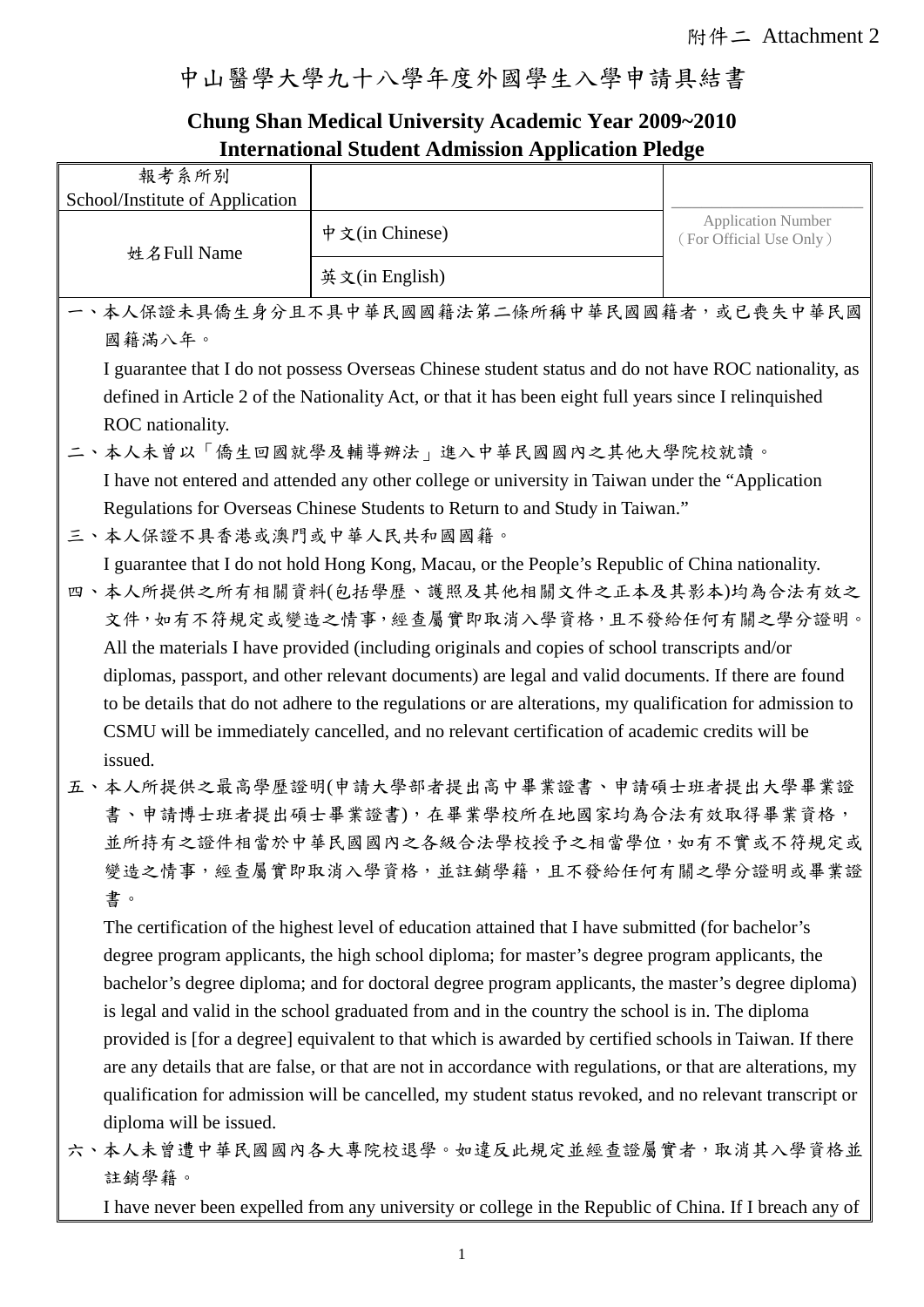#### 中山醫學大學九十八學年度外國學生入學申請具結書

#### **Chung Shan Medical University Academic Year 2009~2010 International Student Admission Application Pledge**

|                                 | International Student Admission Application Piedge                                                          |                           |  |
|---------------------------------|-------------------------------------------------------------------------------------------------------------|---------------------------|--|
| 報考系所別                           |                                                                                                             |                           |  |
| School/Institute of Application |                                                                                                             | <b>Application Number</b> |  |
| 姓名Full Name                     | 中文(in Chinese)                                                                                              | (For Official Use Only)   |  |
|                                 | 英文(in English)                                                                                              |                           |  |
|                                 | 一、本人保證未具僑生身分且不具中華民國國籍法第二條所稱中華民國國籍者,或已喪失中華民國                                                                 |                           |  |
| 國籍滿八年。                          |                                                                                                             |                           |  |
|                                 | I guarantee that I do not possess Overseas Chinese student status and do not have ROC nationality, as       |                           |  |
|                                 | defined in Article 2 of the Nationality Act, or that it has been eight full years since I relinquished      |                           |  |
| ROC nationality.                |                                                                                                             |                           |  |
|                                 | 二、本人未曾以「僑生回國就學及輔導辦法」進入中華民國國內之其他大學院校就讀。                                                                      |                           |  |
|                                 | I have not entered and attended any other college or university in Taiwan under the "Application"           |                           |  |
|                                 | Regulations for Overseas Chinese Students to Return to and Study in Taiwan."                                |                           |  |
| 三、本人保證不具香港或澳門或中華人民共和國國籍。        |                                                                                                             |                           |  |
|                                 | I guarantee that I do not hold Hong Kong, Macau, or the People's Republic of China nationality.             |                           |  |
|                                 | 四、本人所提供之所有相關資料(包括學歷、護照及其他相關文件之正本及其影本)均為合法有效之                                                                |                           |  |
|                                 | 文件,如有不符規定或變造之情事,經查屬實即取消入學資格,且不發給任何有關之學分證明。                                                                  |                           |  |
|                                 | All the materials I have provided (including originals and copies of school transcripts and/or              |                           |  |
|                                 | diplomas, passport, and other relevant documents) are legal and valid documents. If there are found         |                           |  |
|                                 | to be details that do not adhere to the regulations or are alterations, my qualification for admission to   |                           |  |
|                                 | CSMU will be immediately cancelled, and no relevant certification of academic credits will be               |                           |  |
| issued.                         |                                                                                                             |                           |  |
|                                 | 五、本人所提供之最高學歷證明(申請大學部者提出高中畢業證書、申請碩士班者提出大學畢業證                                                                 |                           |  |
|                                 | 書、申請博士班者提出碩士畢業證書),在畢業學校所在地國家均為合法有效取得畢業資格,                                                                   |                           |  |
|                                 | 並所持有之證件相當於中華民國國內之各級合法學校授予之相當學位,如有不實或不符規定或<br>變造之情事,經查屬實即取消入學資格,並註銷學籍,且不發給任何有關之學分證明或畢業證                      |                           |  |
| 書。                              |                                                                                                             |                           |  |
|                                 | The certification of the highest level of education attained that I have submitted (for bachelor's          |                           |  |
|                                 | degree program applicants, the high school diploma; for master's degree program applicants, the             |                           |  |
|                                 | bachelor's degree diploma; and for doctoral degree program applicants, the master's degree diploma)         |                           |  |
|                                 | is legal and valid in the school graduated from and in the country the school is in. The diploma            |                           |  |
|                                 | provided is [for a degree] equivalent to that which is awarded by certified schools in Taiwan. If there     |                           |  |
|                                 | are any details that are false, or that are not in accordance with regulations, or that are alterations, my |                           |  |
|                                 | qualification for admission will be cancelled, my student status revoked, and no relevant transcript or     |                           |  |
| diploma will be issued.         |                                                                                                             |                           |  |
|                                 | 六、本人未曾遭中華民國國內各大專院校退學。如違反此規定並經查證屬實者,取消其入學資格並                                                                 |                           |  |
| 註銷學籍。                           |                                                                                                             |                           |  |
|                                 | I have never been expelled from any university or college in the Republic of China. If I breach any of      |                           |  |